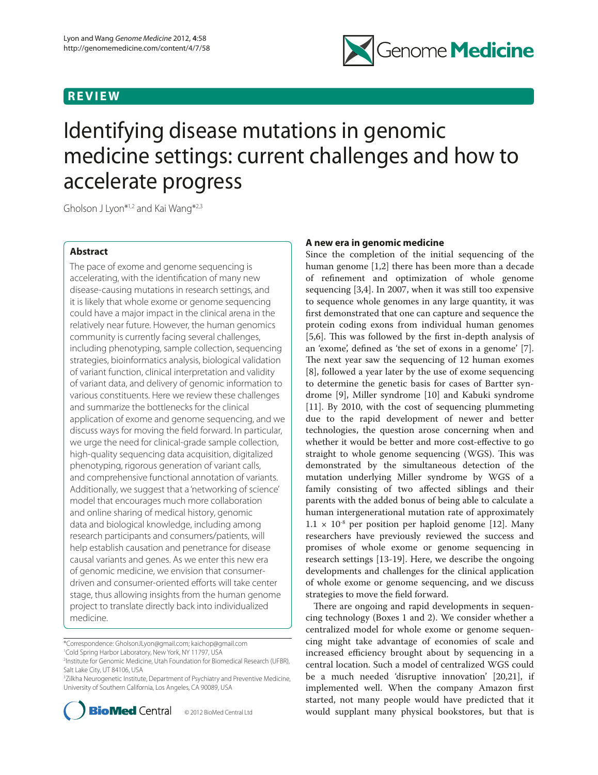# **REVIEW**



# Identifying disease mutations in genomic medicine settings: current challenges and how to accelerate progress

Gholson J Lyon\*1,2 and Kai Wang\*2,3

# **Abstract**

The pace of exome and genome sequencing is accelerating, with the identification of many new disease-causing mutations in research settings, and it is likely that whole exome or genome sequencing could have a major impact in the clinical arena in the relatively near future. However, the human genomics community is currently facing several challenges, including phenotyping, sample collection, sequencing strategies, bioinformatics analysis, biological validation of variant function, clinical interpretation and validity of variant data, and delivery of genomic information to various constituents. Here we review these challenges and summarize the bottlenecks for the clinical application of exome and genome sequencing, and we discuss ways for moving the field forward. In particular, we urge the need for clinical-grade sample collection, high-quality sequencing data acquisition, digitalized phenotyping, rigorous generation of variant calls, and comprehensive functional annotation of variants. Additionally, we suggest that a 'networking of science' model that encourages much more collaboration and online sharing of medical history, genomic data and biological knowledge, including among research participants and consumers/patients, will help establish causation and penetrance for disease causal variants and genes. As we enter this new era of genomic medicine, we envision that consumerdriven and consumer-oriented efforts will take center stage, thus allowing insights from the human genome project to translate directly back into individualized medicine.

\*Correspondence: GholsonJLyon@gmail.com; kaichop@gmail.com

1 Cold Spring Harbor Laboratory, New York, NY 11797, USA

<sup>&</sup>lt;sup>3</sup>Zilkha Neurogenetic Institute, Department of Psychiatry and Preventive Medicine, University of Southern California, Los Angeles, CA 90089, USA



# **A new era in genomic medicine**

Since the completion of the initial sequencing of the human genome [1,2] there has been more than a decade of refinement and optimization of whole genome sequencing [3,4]. In 2007, when it was still too expensive to sequence whole genomes in any large quantity, it was first demonstrated that one can capture and sequence the protein coding exons from individual human genomes [5,6]. This was followed by the first in-depth analysis of an 'exome', defined as 'the set of exons in a genome' [7]. The next year saw the sequencing of 12 human exomes [8], followed a year later by the use of exome sequencing to determine the genetic basis for cases of Bartter syndrome [9], Miller syndrome [10] and Kabuki syndrome [11]. By 2010, with the cost of sequencing plummeting due to the rapid development of newer and better technologies, the question arose concerning when and whether it would be better and more cost-effective to go straight to whole genome sequencing (WGS). This was demonstrated by the simultaneous detection of the mutation underlying Miller syndrome by WGS of a family consisting of two affected siblings and their parents with the added bonus of being able to calculate a human intergenerational mutation rate of approximately  $1.1 \times 10^{-8}$  per position per haploid genome [12]. Many researchers have previously reviewed the success and promises of whole exome or genome sequencing in research settings [13-19]. Here, we describe the ongoing developments and challenges for the clinical application of whole exome or genome sequencing, and we discuss strategies to move the field forward.

There are ongoing and rapid developments in sequencing technology (Boxes 1 and 2). We consider whether a centralized model for whole exome or genome sequencing might take advantage of economies of scale and increased efficiency brought about by sequencing in a central location. Such a model of centralized WGS could be a much needed 'disruptive innovation' [20,21], if implemented well. When the company Amazon first started, not many people would have predicted that it would supplant many physical bookstores, but that is

<sup>2</sup> Institute for Genomic Medicine, Utah Foundation for Biomedical Research (UFBR), Salt Lake City, UT 84106, USA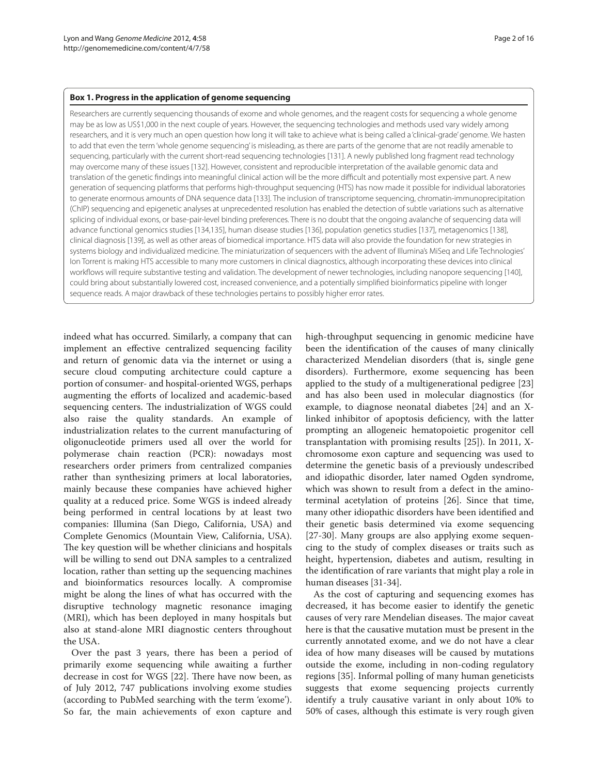#### **Box 1. Progress in the application of genome sequencing**

Researchers are currently sequencing thousands of exome and whole genomes, and the reagent costs for sequencing a whole genome may be as low as US\$1,000 in the next couple of years. However, the sequencing technologies and methods used vary widely among researchers, and it is very much an open question how long it will take to achieve what is being called a 'clinical-grade' genome. We hasten to add that even the term 'whole genome sequencing' is misleading, as there are parts of the genome that are not readily amenable to sequencing, particularly with the current short-read sequencing technologies [131]. A newly published long fragment read technology may overcome many of these issues [132]. However, consistent and reproducible interpretation of the available genomic data and translation of the genetic findings into meaningful clinical action will be the more difficult and potentially most expensive part. A new generation of sequencing platforms that performs high-throughput sequencing (HTS) has now made it possible for individual laboratories to generate enormous amounts of DNA sequence data [133]. The inclusion of transcriptome sequencing, chromatin-immunoprecipitation (ChIP) sequencing and epigenetic analyses at unprecedented resolution has enabled the detection of subtle variations such as alternative splicing of individual exons, or base-pair-level binding preferences. There is no doubt that the ongoing avalanche of sequencing data will advance functional genomics studies [134,135], human disease studies [136], population genetics studies [137], metagenomics [138], clinical diagnosis [139], as well as other areas of biomedical importance. HTS data will also provide the foundation for new strategies in systems biology and individualized medicine. The miniaturization of sequencers with the advent of Illumina's MiSeq and Life Technologies' Ion Torrent is making HTS accessible to many more customers in clinical diagnostics, although incorporating these devices into clinical workflows will require substantive testing and validation. The development of newer technologies, including nanopore sequencing [140], could bring about substantially lowered cost, increased convenience, and a potentially simplified bioinformatics pipeline with longer sequence reads. A major drawback of these technologies pertains to possibly higher error rates.

indeed what has occurred. Similarly, a company that can implement an effective centralized sequencing facility and return of genomic data via the internet or using a secure cloud computing architecture could capture a portion of consumer- and hospital-oriented WGS, perhaps augmenting the efforts of localized and academic-based sequencing centers. The industrialization of WGS could also raise the quality standards. An example of industrialization relates to the current manufacturing of oligonucleotide primers used all over the world for polymerase chain reaction (PCR): nowadays most researchers order primers from centralized companies rather than synthesizing primers at local laboratories, mainly because these companies have achieved higher quality at a reduced price. Some WGS is indeed already being performed in central locations by at least two companies: Illumina (San Diego, California, USA) and Complete Genomics (Mountain View, California, USA). The key question will be whether clinicians and hospitals will be willing to send out DNA samples to a centralized location, rather than setting up the sequencing machines and bioinformatics resources locally. A compromise might be along the lines of what has occurred with the disruptive technology magnetic resonance imaging (MRI), which has been deployed in many hospitals but also at stand-alone MRI diagnostic centers throughout the USA.

Over the past 3 years, there has been a period of primarily exome sequencing while awaiting a further decrease in cost for WGS [22]. There have now been, as of July 2012, 747 publications involving exome studies (according to PubMed searching with the term 'exome'). So far, the main achievements of exon capture and high-throughput sequencing in genomic medicine have been the identification of the causes of many clinically characterized Mendelian disorders (that is, single gene disorders). Furthermore, exome sequencing has been applied to the study of a multigenerational pedigree [23] and has also been used in molecular diagnostics (for example, to diagnose neonatal diabetes [24] and an Xlinked inhibitor of apoptosis deficiency, with the latter prompting an allogeneic hematopoietic progenitor cell transplantation with promising results [25]). In 2011, Xchromosome exon capture and sequencing was used to determine the genetic basis of a previously undescribed and idiopathic disorder, later named Ogden syndrome, which was shown to result from a defect in the aminoterminal acetylation of proteins [26]. Since that time, many other idiopathic disorders have been identified and their genetic basis determined via exome sequencing [27-30]. Many groups are also applying exome sequencing to the study of complex diseases or traits such as height, hypertension, diabetes and autism, resulting in the identification of rare variants that might play a role in human diseases [31-34].

As the cost of capturing and sequencing exomes has decreased, it has become easier to identify the genetic causes of very rare Mendelian diseases. The major caveat here is that the causative mutation must be present in the currently annotated exome, and we do not have a clear idea of how many diseases will be caused by mutations outside the exome, including in non-coding regulatory regions [35]. Informal polling of many human geneticists suggests that exome sequencing projects currently identify a truly causative variant in only about 10% to 50% of cases, although this estimate is very rough given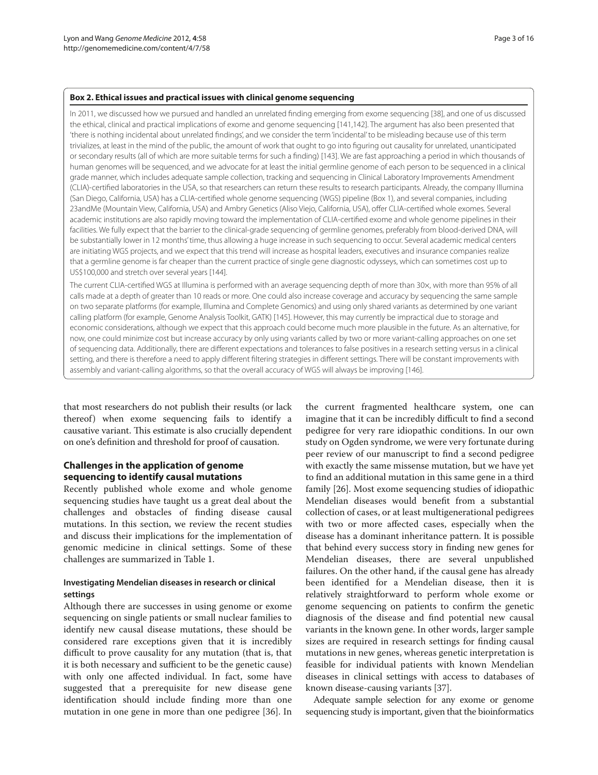In 2011, we discussed how we pursued and handled an unrelated finding emerging from exome sequencing [38], and one of us discussed the ethical, clinical and practical implications of exome and genome sequencing [141,142]. The argument has also been presented that 'there is nothing incidental about unrelated findings', and we consider the term 'incidental' to be misleading because use of this term trivializes, at least in the mind of the public, the amount of work that ought to go into figuring out causality for unrelated, unanticipated or secondary results (all of which are more suitable terms for such a finding) [143]. We are fast approaching a period in which thousands of human genomes will be sequenced, and we advocate for at least the initial germline genome of each person to be sequenced in a clinical grade manner, which includes adequate sample collection, tracking and sequencing in Clinical Laboratory Improvements Amendment (CLIA)-certified laboratories in the USA, so that researchers can return these results to research participants. Already, the company Illumina (San Diego, California, USA) has a CLIA-certified whole genome sequencing (WGS) pipeline (Box 1), and several companies, including 23andMe (Mountain View, California, USA) and Ambry Genetics (Aliso Viejo, California, USA), offer CLIA-certified whole exomes. Several academic institutions are also rapidly moving toward the implementation of CLIA-certified exome and whole genome pipelines in their facilities. We fully expect that the barrier to the clinical-grade sequencing of germline genomes, preferably from blood-derived DNA, will be substantially lower in 12 months' time, thus allowing a huge increase in such sequencing to occur. Several academic medical centers are initiating WGS projects, and we expect that this trend will increase as hospital leaders, executives and insurance companies realize that a germline genome is far cheaper than the current practice of single gene diagnostic odysseys, which can sometimes cost up to US\$100,000 and stretch over several years [144].

The current CLIA-certified WGS at Illumina is performed with an average sequencing depth of more than 30x, with more than 95% of all calls made at a depth of greater than 10 reads or more. One could also increase coverage and accuracy by sequencing the same sample on two separate platforms (for example, Illumina and Complete Genomics) and using only shared variants as determined by one variant calling platform (for example, Genome Analysis Toolkit, GATK) [145]. However, this may currently be impractical due to storage and economic considerations, although we expect that this approach could become much more plausible in the future. As an alternative, for now, one could minimize cost but increase accuracy by only using variants called by two or more variant-calling approaches on one set of sequencing data. Additionally, there are different expectations and tolerances to false positives in a research setting versus in a clinical setting, and there is therefore a need to apply different filtering strategies in different settings. There will be constant improvements with assembly and variant-calling algorithms, so that the overall accuracy of WGS will always be improving [146].

that most researchers do not publish their results (or lack thereof) when exome sequencing fails to identify a causative variant. This estimate is also crucially dependent on one's definition and threshold for proof of causation.

# **Challenges in the application of genome sequencing to identify causal mutations**

Recently published whole exome and whole genome sequencing studies have taught us a great deal about the challenges and obstacles of finding disease causal mutations. In this section, we review the recent studies and discuss their implications for the implementation of genomic medicine in clinical settings. Some of these challenges are summarized in Table 1.

# **Investigating Mendelian diseases in research or clinical settings**

Although there are successes in using genome or exome sequencing on single patients or small nuclear families to identify new causal disease mutations, these should be considered rare exceptions given that it is incredibly difficult to prove causality for any mutation (that is, that it is both necessary and sufficient to be the genetic cause) with only one affected individual. In fact, some have suggested that a prerequisite for new disease gene identification should include finding more than one mutation in one gene in more than one pedigree [36]. In

the current fragmented healthcare system, one can imagine that it can be incredibly difficult to find a second pedigree for very rare idiopathic conditions. In our own study on Ogden syndrome, we were very fortunate during peer review of our manuscript to find a second pedigree with exactly the same missense mutation, but we have yet to find an additional mutation in this same gene in a third family [26]. Most exome sequencing studies of idiopathic Mendelian diseases would benefit from a substantial collection of cases, or at least multigenerational pedigrees with two or more affected cases, especially when the disease has a dominant inheritance pattern. It is possible that behind every success story in finding new genes for Mendelian diseases, there are several unpublished failures. On the other hand, if the causal gene has already been identified for a Mendelian disease, then it is relatively straightforward to perform whole exome or genome sequencing on patients to confirm the genetic diagnosis of the disease and find potential new causal variants in the known gene. In other words, larger sample sizes are required in research settings for finding causal mutations in new genes, whereas genetic interpretation is feasible for individual patients with known Mendelian diseases in clinical settings with access to databases of known disease-causing variants [37].

Adequate sample selection for any exome or genome sequencing study is important, given that the bioinformatics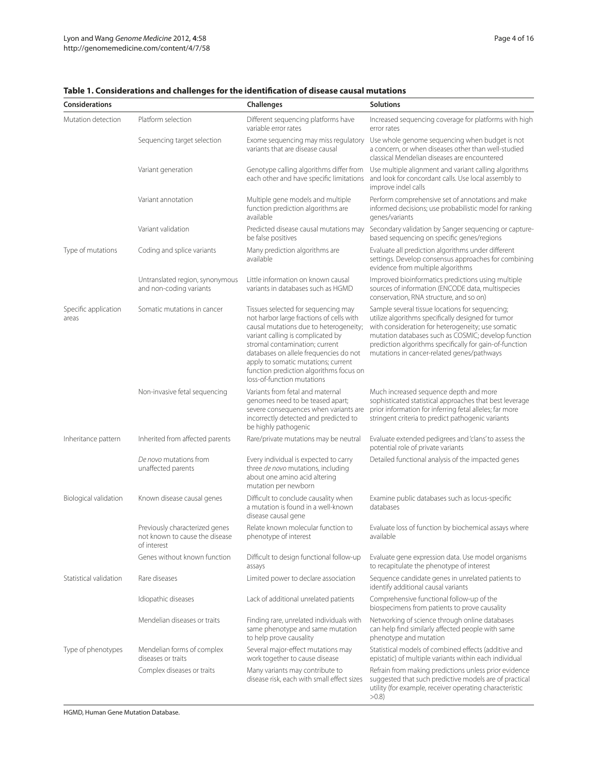| Table 1. Considerations and challenges for the identification of disease causal mutations |  |
|-------------------------------------------------------------------------------------------|--|
|-------------------------------------------------------------------------------------------|--|

| <b>Considerations</b>         |                                                                                 | Challenges                                                                                                                                                                                                                                                                                                                                                 | <b>Solutions</b>                                                                                                                                                                                                                                                                                                           |  |
|-------------------------------|---------------------------------------------------------------------------------|------------------------------------------------------------------------------------------------------------------------------------------------------------------------------------------------------------------------------------------------------------------------------------------------------------------------------------------------------------|----------------------------------------------------------------------------------------------------------------------------------------------------------------------------------------------------------------------------------------------------------------------------------------------------------------------------|--|
| Mutation detection            | Platform selection                                                              | Different sequencing platforms have<br>variable error rates                                                                                                                                                                                                                                                                                                | Increased sequencing coverage for platforms with high<br>error rates                                                                                                                                                                                                                                                       |  |
|                               | Sequencing target selection                                                     | Exome sequencing may miss regulatory<br>variants that are disease causal                                                                                                                                                                                                                                                                                   | Use whole genome sequencing when budget is not<br>a concern, or when diseases other than well-studied<br>classical Mendelian diseases are encountered                                                                                                                                                                      |  |
|                               | Variant generation                                                              | Genotype calling algorithms differ from<br>each other and have specific limitations                                                                                                                                                                                                                                                                        | Use multiple alignment and variant calling algorithms<br>and look for concordant calls. Use local assembly to<br>improve indel calls                                                                                                                                                                                       |  |
|                               | Variant annotation                                                              | Multiple gene models and multiple<br>function prediction algorithms are<br>available                                                                                                                                                                                                                                                                       | Perform comprehensive set of annotations and make<br>informed decisions; use probabilistic model for ranking<br>genes/variants                                                                                                                                                                                             |  |
|                               | Variant validation                                                              | Predicted disease causal mutations may<br>be false positives                                                                                                                                                                                                                                                                                               | Secondary validation by Sanger sequencing or capture-<br>based sequencing on specific genes/regions                                                                                                                                                                                                                        |  |
| Type of mutations             | Coding and splice variants                                                      | Many prediction algorithms are<br>available                                                                                                                                                                                                                                                                                                                | Evaluate all prediction algorithms under different<br>settings. Develop consensus approaches for combining<br>evidence from multiple algorithms                                                                                                                                                                            |  |
|                               | Untranslated region, synonymous<br>and non-coding variants                      | Little information on known causal<br>variants in databases such as HGMD                                                                                                                                                                                                                                                                                   | Improved bioinformatics predictions using multiple<br>sources of information (ENCODE data, multispecies<br>conservation, RNA structure, and so on)                                                                                                                                                                         |  |
| Specific application<br>areas | Somatic mutations in cancer                                                     | Tissues selected for sequencing may<br>not harbor large fractions of cells with<br>causal mutations due to heterogeneity;<br>variant calling is complicated by<br>stromal contamination; current<br>databases on allele frequencies do not<br>apply to somatic mutations; current<br>function prediction algorithms focus on<br>loss-of-function mutations | Sample several tissue locations for sequencing;<br>utilize algorithms specifically designed for tumor<br>with consideration for heterogeneity; use somatic<br>mutation databases such as COSMIC; develop function<br>prediction algorithms specifically for gain-of-function<br>mutations in cancer-related genes/pathways |  |
|                               | Non-invasive fetal sequencing                                                   | Variants from fetal and maternal<br>genomes need to be teased apart;<br>severe consequences when variants are<br>incorrectly detected and predicted to<br>be highly pathogenic                                                                                                                                                                             | Much increased sequence depth and more<br>sophisticated statistical approaches that best leverage<br>prior information for inferring fetal alleles; far more<br>stringent criteria to predict pathogenic variants                                                                                                          |  |
| Inheritance pattern           | Inherited from affected parents                                                 | Rare/private mutations may be neutral                                                                                                                                                                                                                                                                                                                      | Evaluate extended pedigrees and 'clans' to assess the<br>potential role of private variants                                                                                                                                                                                                                                |  |
|                               | De novo mutations from<br>unaffected parents                                    | Every individual is expected to carry<br>three de novo mutations, including<br>about one amino acid altering<br>mutation per newborn                                                                                                                                                                                                                       | Detailed functional analysis of the impacted genes                                                                                                                                                                                                                                                                         |  |
| Biological validation         | Known disease causal genes                                                      | Difficult to conclude causality when<br>a mutation is found in a well-known<br>disease causal gene                                                                                                                                                                                                                                                         | Examine public databases such as locus-specific<br>databases                                                                                                                                                                                                                                                               |  |
|                               | Previously characterized genes<br>not known to cause the disease<br>of interest | Relate known molecular function to<br>phenotype of interest                                                                                                                                                                                                                                                                                                | Evaluate loss of function by biochemical assays where<br>available                                                                                                                                                                                                                                                         |  |
|                               | Genes without known function                                                    | Difficult to design functional follow-up<br>assays                                                                                                                                                                                                                                                                                                         | Evaluate gene expression data. Use model organisms<br>to recapitulate the phenotype of interest                                                                                                                                                                                                                            |  |
| Statistical validation        | Rare diseases                                                                   | Limited power to declare association                                                                                                                                                                                                                                                                                                                       | Sequence candidate genes in unrelated patients to<br>identify additional causal variants                                                                                                                                                                                                                                   |  |
|                               | Idiopathic diseases                                                             | Lack of additional unrelated patients                                                                                                                                                                                                                                                                                                                      | Comprehensive functional follow-up of the<br>biospecimens from patients to prove causality                                                                                                                                                                                                                                 |  |
|                               | Mendelian diseases or traits                                                    | Finding rare, unrelated individuals with<br>same phenotype and same mutation<br>to help prove causality                                                                                                                                                                                                                                                    | Networking of science through online databases<br>can help find similarly affected people with same<br>phenotype and mutation                                                                                                                                                                                              |  |
| Type of phenotypes            | Mendelian forms of complex<br>diseases or traits                                | Several major-effect mutations may<br>work together to cause disease                                                                                                                                                                                                                                                                                       | Statistical models of combined effects (additive and<br>epistatic) of multiple variants within each individual                                                                                                                                                                                                             |  |
|                               | Complex diseases or traits                                                      | Many variants may contribute to<br>disease risk, each with small effect sizes                                                                                                                                                                                                                                                                              | Refrain from making predictions unless prior evidence<br>suggested that such predictive models are of practical<br>utility (for example, receiver operating characteristic<br>$>0.8$ )                                                                                                                                     |  |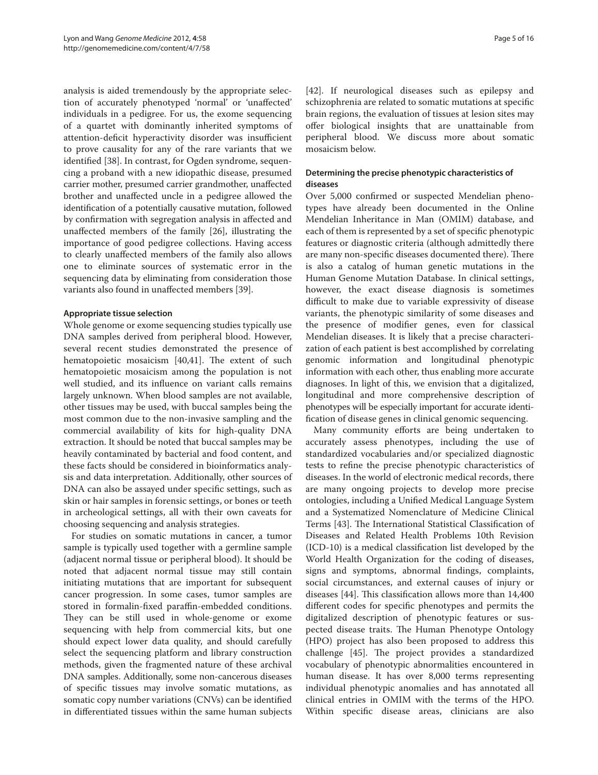analysis is aided tremendously by the appropriate selection of accurately phenotyped 'normal' or 'unaffected' individuals in a pedigree. For us, the exome sequencing of a quartet with dominantly inherited symptoms of attention-deficit hyperactivity disorder was insufficient to prove causality for any of the rare variants that we identified [38]. In contrast, for Ogden syndrome, sequencing a proband with a new idiopathic disease, presumed carrier mother, presumed carrier grandmother, unaffected brother and unaffected uncle in a pedigree allowed the identification of a potentially causative mutation, followed by confirmation with segregation analysis in affected and unaffected members of the family [26], illustrating the importance of good pedigree collections. Having access to clearly unaffected members of the family also allows one to eliminate sources of systematic error in the sequencing data by eliminating from consideration those variants also found in unaffected members [39].

# **Appropriate tissue selection**

Whole genome or exome sequencing studies typically use DNA samples derived from peripheral blood. However, several recent studies demonstrated the presence of hematopoietic mosaicism [40,41]. The extent of such hematopoietic mosaicism among the population is not well studied, and its influence on variant calls remains largely unknown. When blood samples are not available, other tissues may be used, with buccal samples being the most common due to the non-invasive sampling and the commercial availability of kits for high-quality DNA extraction. It should be noted that buccal samples may be heavily contaminated by bacterial and food content, and these facts should be considered in bioinformatics analysis and data interpretation. Additionally, other sources of DNA can also be assayed under specific settings, such as skin or hair samples in forensic settings, or bones or teeth in archeological settings, all with their own caveats for choosing sequencing and analysis strategies.

For studies on somatic mutations in cancer, a tumor sample is typically used together with a germline sample (adjacent normal tissue or peripheral blood). It should be noted that adjacent normal tissue may still contain initiating mutations that are important for subsequent cancer progression. In some cases, tumor samples are stored in formalin-fixed paraffin-embedded conditions. They can be still used in whole-genome or exome sequencing with help from commercial kits, but one should expect lower data quality, and should carefully select the sequencing platform and library construction methods, given the fragmented nature of these archival DNA samples. Additionally, some non-cancerous diseases of specific tissues may involve somatic mutations, as somatic copy number variations (CNVs) can be identified in differentiated tissues within the same human subjects

[42]. If neurological diseases such as epilepsy and schizophrenia are related to somatic mutations at specific brain regions, the evaluation of tissues at lesion sites may offer biological insights that are unattainable from peripheral blood. We discuss more about somatic mosaicism below.

# **Determining the precise phenotypic characteristics of diseases**

Over 5,000 confirmed or suspected Mendelian phenotypes have already been documented in the Online Mendelian Inheritance in Man (OMIM) database, and each of them is represented by a set of specific phenotypic features or diagnostic criteria (although admittedly there are many non-specific diseases documented there). There is also a catalog of human genetic mutations in the Human Genome Mutation Database. In clinical settings, however, the exact disease diagnosis is sometimes difficult to make due to variable expressivity of disease variants, the phenotypic similarity of some diseases and the presence of modifier genes, even for classical Mendelian diseases. It is likely that a precise characterization of each patient is best accomplished by correlating genomic information and longitudinal phenotypic information with each other, thus enabling more accurate diagnoses. In light of this, we envision that a digitalized, longitudinal and more comprehensive description of phenotypes will be especially important for accurate identification of disease genes in clinical genomic sequencing.

Many community efforts are being undertaken to accurately assess phenotypes, including the use of standardized vocabularies and/or specialized diagnostic tests to refine the precise phenotypic characteristics of diseases. In the world of electronic medical records, there are many ongoing projects to develop more precise ontologies, including a Unified Medical Language System and a Systematized Nomenclature of Medicine Clinical Terms [43]. The International Statistical Classification of Diseases and Related Health Problems 10th Revision (ICD-10) is a medical classification list developed by the World Health Organization for the coding of diseases, signs and symptoms, abnormal findings, complaints, social circumstances, and external causes of injury or diseases [44]. This classification allows more than 14,400 different codes for specific phenotypes and permits the digitalized description of phenotypic features or suspected disease traits. The Human Phenotype Ontology (HPO) project has also been proposed to address this challenge [45]. The project provides a standardized vocabulary of phenotypic abnormalities encountered in human disease. It has over 8,000 terms representing individual phenotypic anomalies and has annotated all clinical entries in OMIM with the terms of the HPO. Within specific disease areas, clinicians are also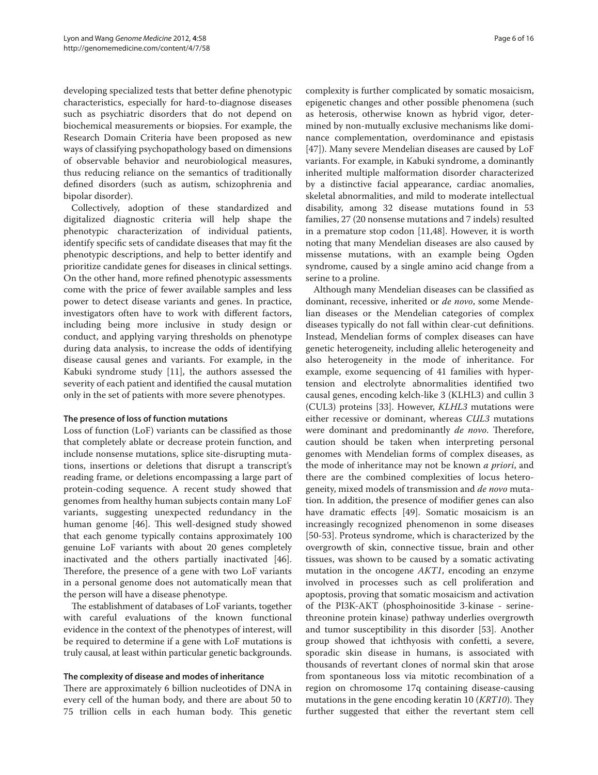developing specialized tests that better define phenotypic characteristics, especially for hard-to-diagnose diseases such as psychiatric disorders that do not depend on biochemical measurements or biopsies. For example, the Research Domain Criteria have been proposed as new ways of classifying psychopathology based on dimensions of observable behavior and neurobiological measures, thus reducing reliance on the semantics of traditionally defined disorders (such as autism, schizophrenia and bipolar disorder).

Collectively, adoption of these standardized and digitalized diagnostic criteria will help shape the phenotypic characterization of individual patients, identify specific sets of candidate diseases that may fit the phenotypic descriptions, and help to better identify and prioritize candidate genes for diseases in clinical settings. On the other hand, more refined phenotypic assessments come with the price of fewer available samples and less power to detect disease variants and genes. In practice, investigators often have to work with different factors, including being more inclusive in study design or conduct, and applying varying thresholds on phenotype during data analysis, to increase the odds of identifying disease causal genes and variants. For example, in the Kabuki syndrome study [11], the authors assessed the severity of each patient and identified the causal mutation only in the set of patients with more severe phenotypes.

# **The presence of loss of function mutations**

Loss of function (LoF) variants can be classified as those that completely ablate or decrease protein function, and include nonsense mutations, splice site-disrupting mutations, insertions or deletions that disrupt a transcript's reading frame, or deletions encompassing a large part of protein-coding sequence. A recent study showed that genomes from healthy human subjects contain many LoF variants, suggesting unexpected redundancy in the human genome [46]. This well-designed study showed that each genome typically contains approximately 100 genuine LoF variants with about 20 genes completely inactivated and the others partially inactivated [46]. Therefore, the presence of a gene with two LoF variants in a personal genome does not automatically mean that the person will have a disease phenotype.

The establishment of databases of LoF variants, together with careful evaluations of the known functional evidence in the context of the phenotypes of interest, will be required to determine if a gene with LoF mutations is truly causal, at least within particular genetic backgrounds.

### **The complexity of disease and modes of inheritance**

There are approximately 6 billion nucleotides of DNA in every cell of the human body, and there are about 50 to 75 trillion cells in each human body. This genetic complexity is further complicated by somatic mosaicism, epigenetic changes and other possible phenomena (such as heterosis, otherwise known as hybrid vigor, determined by non-mutually exclusive mechanisms like dominance complementation, overdominance and epistasis [47]). Many severe Mendelian diseases are caused by LoF variants. For example, in Kabuki syndrome, a dominantly inherited multiple malformation disorder characterized by a distinctive facial appearance, cardiac anomalies, skeletal abnormalities, and mild to moderate intellectual disability, among 32 disease mutations found in 53 families, 27 (20 nonsense mutations and 7 indels) resulted in a premature stop codon [11,48]. However, it is worth noting that many Mendelian diseases are also caused by missense mutations, with an example being Ogden syndrome, caused by a single amino acid change from a serine to a proline.

Although many Mendelian diseases can be classified as dominant, recessive, inherited or *de novo*, some Mendelian diseases or the Mendelian categories of complex diseases typically do not fall within clear-cut definitions. Instead, Mendelian forms of complex diseases can have genetic heterogeneity, including allelic heterogeneity and also heterogeneity in the mode of inheritance. For example, exome sequencing of 41 families with hypertension and electrolyte abnormalities identified two causal genes, encoding kelch-like 3 (KLHL3) and cullin 3 (CUL3) proteins [33]. However, *KLHL3* mutations were either recessive or dominant, whereas *CUL3* mutations were dominant and predominantly *de novo*. Therefore, caution should be taken when interpreting personal genomes with Mendelian forms of complex diseases, as the mode of inheritance may not be known *a priori*, and there are the combined complexities of locus heterogeneity, mixed models of transmission and *de novo* mutation. In addition, the presence of modifier genes can also have dramatic effects [49]. Somatic mosaicism is an increasingly recognized phenomenon in some diseases [50-53]. Proteus syndrome, which is characterized by the overgrowth of skin, connective tissue, brain and other tissues, was shown to be caused by a somatic activating mutation in the oncogene *AKT1*, encoding an enzyme involved in processes such as cell proliferation and apoptosis, proving that somatic mosaicism and activation of the PI3K-AKT (phosphoinositide 3-kinase - serinethreonine protein kinase) pathway underlies overgrowth and tumor susceptibility in this disorder [53]. Another group showed that ichthyosis with confetti, a severe, sporadic skin disease in humans, is associated with thousands of revertant clones of normal skin that arose from spontaneous loss via mitotic recombination of a region on chromosome 17q containing disease-causing mutations in the gene encoding keratin 10 (*KRT10*). They further suggested that either the revertant stem cell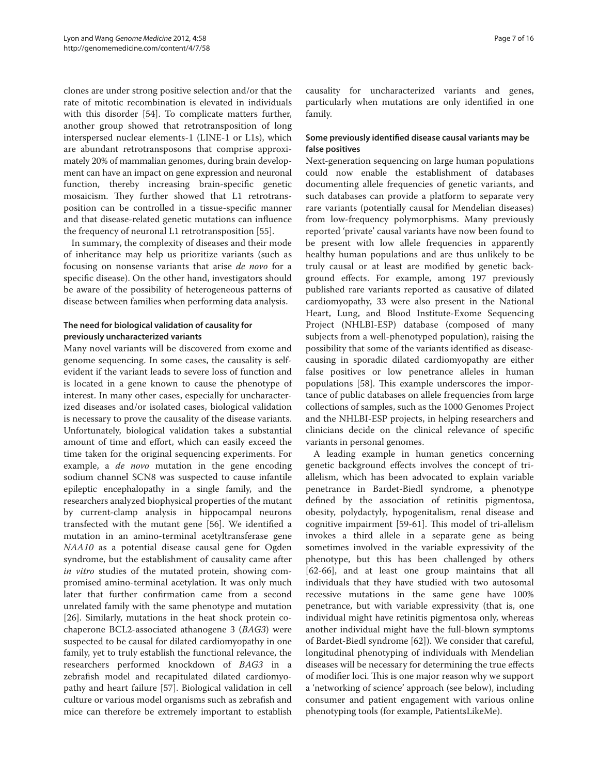clones are under strong positive selection and/or that the rate of mitotic recombination is elevated in individuals with this disorder [54]. To complicate matters further, another group showed that retrotransposition of long interspersed nuclear elements-1 (LINE-1 or L1s), which are abundant retrotransposons that comprise approximately 20% of mammalian genomes, during brain development can have an impact on gene expression and neuronal function, thereby increasing brain-specific genetic mosaicism. They further showed that L1 retrotransposition can be controlled in a tissue-specific manner and that disease-related genetic mutations can influence the frequency of neuronal L1 retrotransposition [55].

In summary, the complexity of diseases and their mode of inheritance may help us prioritize variants (such as focusing on nonsense variants that arise *de novo* for a specific disease). On the other hand, investigators should be aware of the possibility of heterogeneous patterns of disease between families when performing data analysis.

# **The need for biological validation of causality for previously uncharacterized variants**

Many novel variants will be discovered from exome and genome sequencing. In some cases, the causality is selfevident if the variant leads to severe loss of function and is located in a gene known to cause the phenotype of interest. In many other cases, especially for uncharacterized diseases and/or isolated cases, biological validation is necessary to prove the causality of the disease variants. Unfortunately, biological validation takes a substantial amount of time and effort, which can easily exceed the time taken for the original sequencing experiments. For example, a *de novo* mutation in the gene encoding sodium channel SCN8 was suspected to cause infantile epileptic encephalopathy in a single family, and the researchers analyzed biophysical properties of the mutant by current-clamp analysis in hippocampal neurons transfected with the mutant gene [56]. We identified a mutation in an amino-terminal acetyltransferase gene *NAA10* as a potential disease causal gene for Ogden syndrome, but the establishment of causality came after *in vitro* studies of the mutated protein, showing compromised amino-terminal acetylation. It was only much later that further confirmation came from a second unrelated family with the same phenotype and mutation [26]. Similarly, mutations in the heat shock protein cochaperone BCL2-associated athanogene 3 (*BAG3*) were suspected to be causal for dilated cardiomyopathy in one family, yet to truly establish the functional relevance, the researchers performed knockdown of *BAG3* in a zebrafish model and recapitulated dilated cardiomyopathy and heart failure [57]. Biological validation in cell culture or various model organisms such as zebrafish and mice can therefore be extremely important to establish

causality for uncharacterized variants and genes, particularly when mutations are only identified in one family.

# **Some previously identified disease causal variants may be false positives**

Next-generation sequencing on large human populations could now enable the establishment of databases documenting allele frequencies of genetic variants, and such databases can provide a platform to separate very rare variants (potentially causal for Mendelian diseases) from low-frequency polymorphisms. Many previously reported 'private' causal variants have now been found to be present with low allele frequencies in apparently healthy human populations and are thus unlikely to be truly causal or at least are modified by genetic background effects. For example, among 197 previously published rare variants reported as causative of dilated cardiomyopathy, 33 were also present in the National Heart, Lung, and Blood Institute-Exome Sequencing Project (NHLBI-ESP) database (composed of many subjects from a well-phenotyped population), raising the possibility that some of the variants identified as diseasecausing in sporadic dilated cardiomyopathy are either false positives or low penetrance alleles in human populations [58]. This example underscores the importance of public databases on allele frequencies from large collections of samples, such as the 1000 Genomes Project and the NHLBI-ESP projects, in helping researchers and clinicians decide on the clinical relevance of specific variants in personal genomes.

A leading example in human genetics concerning genetic background effects involves the concept of triallelism, which has been advocated to explain variable penetrance in Bardet-Biedl syndrome, a phenotype defined by the association of retinitis pigmentosa, obesity, polydactyly, hypogenitalism, renal disease and cognitive impairment [59-61]. This model of tri-allelism invokes a third allele in a separate gene as being sometimes involved in the variable expressivity of the phenotype, but this has been challenged by others [62-66], and at least one group maintains that all individuals that they have studied with two autosomal recessive mutations in the same gene have 100% penetrance, but with variable expressivity (that is, one individual might have retinitis pigmentosa only, whereas another individual might have the full-blown symptoms of Bardet-Biedl syndrome [62]). We consider that careful, longitudinal phenotyping of individuals with Mendelian diseases will be necessary for determining the true effects of modifier loci. This is one major reason why we support a 'networking of science' approach (see below), including consumer and patient engagement with various online phenotyping tools (for example, PatientsLikeMe).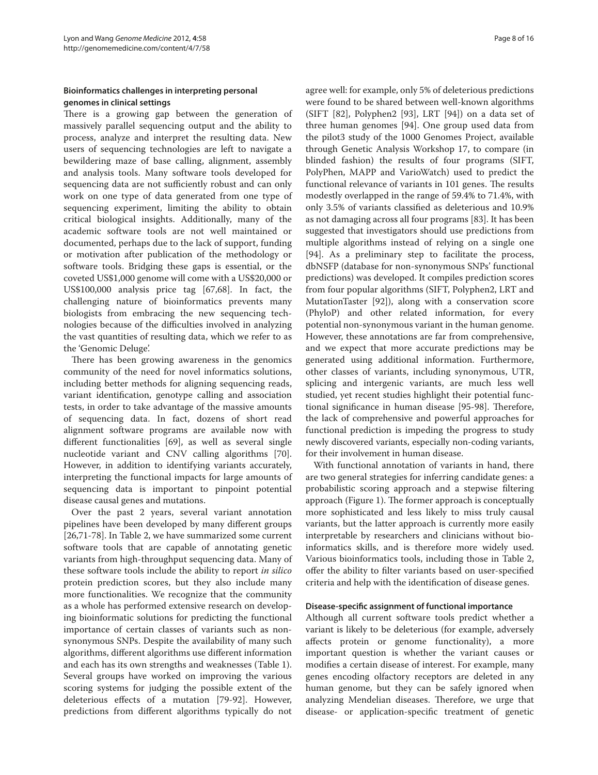# **Bioinformatics challenges in interpreting personal genomes in clinical settings**

There is a growing gap between the generation of massively parallel sequencing output and the ability to process, analyze and interpret the resulting data. New users of sequencing technologies are left to navigate a bewildering maze of base calling, alignment, assembly and analysis tools. Many software tools developed for sequencing data are not sufficiently robust and can only work on one type of data generated from one type of sequencing experiment, limiting the ability to obtain critical biological insights. Additionally, many of the academic software tools are not well maintained or documented, perhaps due to the lack of support, funding or motivation after publication of the methodology or software tools. Bridging these gaps is essential, or the coveted US\$1,000 genome will come with a US\$20,000 or US\$100,000 analysis price tag [67,68]. In fact, the challenging nature of bioinformatics prevents many biologists from embracing the new sequencing technologies because of the difficulties involved in analyzing the vast quantities of resulting data, which we refer to as the 'Genomic Deluge'.

There has been growing awareness in the genomics community of the need for novel informatics solutions, including better methods for aligning sequencing reads, variant identification, genotype calling and association tests, in order to take advantage of the massive amounts of sequencing data. In fact, dozens of short read alignment software programs are available now with different functionalities [69], as well as several single nucleotide variant and CNV calling algorithms [70]. However, in addition to identifying variants accurately, interpreting the functional impacts for large amounts of sequencing data is important to pinpoint potential disease causal genes and mutations.

Over the past 2 years, several variant annotation pipelines have been developed by many different groups [26,71-78]. In Table 2, we have summarized some current software tools that are capable of annotating genetic variants from high-throughput sequencing data. Many of these software tools include the ability to report *in silico* protein prediction scores, but they also include many more functionalities. We recognize that the community as a whole has performed extensive research on developing bioinformatic solutions for predicting the functional importance of certain classes of variants such as nonsynonymous SNPs. Despite the availability of many such algorithms, different algorithms use different information and each has its own strengths and weaknesses (Table 1). Several groups have worked on improving the various scoring systems for judging the possible extent of the deleterious effects of a mutation [79-92]. However, predictions from different algorithms typically do not agree well: for example, only 5% of deleterious predictions were found to be shared between well-known algorithms (SIFT [82], Polyphen2 [93], LRT [94]) on a data set of three human genomes [94]. One group used data from the pilot3 study of the 1000 Genomes Project, available through Genetic Analysis Workshop 17, to compare (in blinded fashion) the results of four programs (SIFT, PolyPhen, MAPP and VarioWatch) used to predict the functional relevance of variants in 101 genes. The results modestly overlapped in the range of 59.4% to 71.4%, with only 3.5% of variants classified as deleterious and 10.9% as not damaging across all four programs [83]. It has been suggested that investigators should use predictions from multiple algorithms instead of relying on a single one [94]. As a preliminary step to facilitate the process, dbNSFP (database for non-synonymous SNPs' functional predictions) was developed. It compiles prediction scores from four popular algorithms (SIFT, Polyphen2, LRT and MutationTaster [92]), along with a conservation score (PhyloP) and other related information, for every potential non-synonymous variant in the human genome. However, these annotations are far from comprehensive, and we expect that more accurate predictions may be generated using additional information. Furthermore, other classes of variants, including synonymous, UTR, splicing and intergenic variants, are much less well studied, yet recent studies highlight their potential functional significance in human disease [95-98]. Therefore, the lack of comprehensive and powerful approaches for functional prediction is impeding the progress to study newly discovered variants, especially non-coding variants, for their involvement in human disease.

With functional annotation of variants in hand, there are two general strategies for inferring candidate genes: a probabilistic scoring approach and a stepwise filtering approach (Figure 1). The former approach is conceptually more sophisticated and less likely to miss truly causal variants, but the latter approach is currently more easily interpretable by researchers and clinicians without bioinformatics skills, and is therefore more widely used. Various bioinformatics tools, including those in Table 2, offer the ability to filter variants based on user-specified criteria and help with the identification of disease genes.

### **Disease-specific assignment of functional importance**

Although all current software tools predict whether a variant is likely to be deleterious (for example, adversely affects protein or genome functionality), a more important question is whether the variant causes or modifies a certain disease of interest. For example, many genes encoding olfactory receptors are deleted in any human genome, but they can be safely ignored when analyzing Mendelian diseases. Therefore, we urge that disease- or application-specific treatment of genetic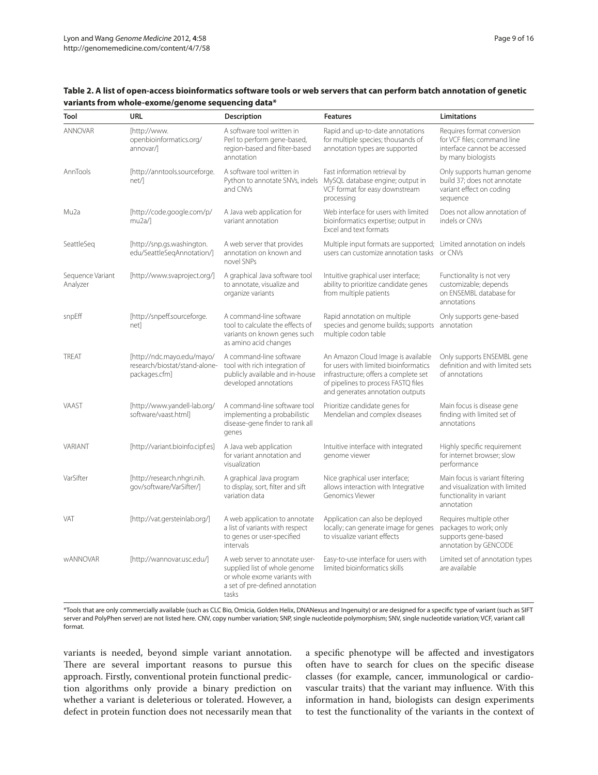| Tool                         | <b>URL</b>                                                                   | Description                                                                                                                                 | <b>Features</b>                                                                                                                                                                                 | <b>Limitations</b>                                                                                              |
|------------------------------|------------------------------------------------------------------------------|---------------------------------------------------------------------------------------------------------------------------------------------|-------------------------------------------------------------------------------------------------------------------------------------------------------------------------------------------------|-----------------------------------------------------------------------------------------------------------------|
| <b>ANNOVAR</b>               | [http://www.<br>openbioinformatics.org/<br>annovar/]                         | A software tool written in<br>Perl to perform gene-based,<br>region-based and filter-based<br>annotation                                    | Rapid and up-to-date annotations<br>for multiple species; thousands of<br>annotation types are supported                                                                                        | Requires format conversion<br>for VCF files; command line<br>interface cannot be accessed<br>by many biologists |
| AnnTools                     | [http://anntools.sourceforge.<br>net/                                        | A software tool written in<br>and CNVs                                                                                                      | Fast information retrieval by<br>Python to annotate SNVs, indels MySQL database engine; output in<br>VCF format for easy downstream<br>processing                                               | Only supports human genome<br>build 37; does not annotate<br>variant effect on coding<br>sequence               |
| Mu <sub>2</sub> a            | [http://code.google.com/p/<br>mu2a/                                          | A Java web application for<br>variant annotation                                                                                            | Web interface for users with limited<br>bioinformatics expertise; output in<br>Excel and text formats                                                                                           | Does not allow annotation of<br>indels or CNVs                                                                  |
| SeattleSeg                   | [http://snp.gs.washington.<br>edu/SeattleSeqAnnotation/]                     | A web server that provides<br>annotation on known and<br>novel SNPs                                                                         | Multiple input formats are supported; Limited annotation on indels<br>users can customize annotation tasks or CNVs                                                                              |                                                                                                                 |
| Sequence Variant<br>Analyzer | [http://www.svaproject.org/]                                                 | A graphical Java software tool<br>to annotate, visualize and<br>organize variants                                                           | Intuitive graphical user interface;<br>ability to prioritize candidate genes<br>from multiple patients                                                                                          | Functionality is not very<br>customizable; depends<br>on ENSEMBL database for<br>annotations                    |
| snpEff                       | [http://snpeff.sourceforge.<br>net]                                          | A command-line software<br>tool to calculate the effects of<br>variants on known genes such<br>as amino acid changes                        | Rapid annotation on multiple<br>species and genome builds; supports<br>multiple codon table                                                                                                     | Only supports gene-based<br>annotation                                                                          |
| <b>TRFAT</b>                 | [http://ndc.mayo.edu/mayo/<br>research/biostat/stand-alone-<br>packages.cfm] | A command-line software<br>tool with rich integration of<br>publicly available and in-house<br>developed annotations                        | An Amazon Cloud Image is available<br>for users with limited bioinformatics<br>infrastructure; offers a complete set<br>of pipelines to process FASTQ files<br>and generates annotation outputs | Only supports ENSEMBL gene<br>definition and with limited sets<br>of annotations                                |
| VAAST                        | [http://www.yandell-lab.org/<br>software/vaast.htmll                         | A command-line software tool<br>implementing a probabilistic<br>disease-gene finder to rank all<br>genes                                    | Prioritize candidate genes for<br>Mendelian and complex diseases                                                                                                                                | Main focus is disease gene<br>finding with limited set of<br>annotations                                        |
| VARIANT                      | [http://variant.bioinfo.cipf.es]                                             | A Java web application<br>for variant annotation and<br>visualization                                                                       | Intuitive interface with integrated<br>genome viewer                                                                                                                                            | Highly specific requirement<br>for internet browser; slow<br>performance                                        |
| VarSifter                    | [http://research.nhgri.nih.<br>qov/software/VarSifter/]                      | A graphical Java program<br>to display, sort, filter and sift<br>variation data                                                             | Nice graphical user interface;<br>allows interaction with Integrative<br>Genomics Viewer                                                                                                        | Main focus is variant filtering<br>and visualization with limited<br>functionality in variant<br>annotation     |
| VAT                          | [http://vat.gersteinlab.org/]                                                | A web application to annotate<br>a list of variants with respect<br>to genes or user-specified<br>intervals                                 | Application can also be deployed<br>locally; can generate image for genes<br>to visualize variant effects                                                                                       | Requires multiple other<br>packages to work; only<br>supports gene-based<br>annotation by GENCODE               |
| <b><i>wANNOVAR</i></b>       | [http://wannovar.usc.edu/]                                                   | A web server to annotate user-<br>supplied list of whole genome<br>or whole exome variants with<br>a set of pre-defined annotation<br>tasks | Easy-to-use interface for users with<br>limited bioinformatics skills                                                                                                                           | Limited set of annotation types<br>are available                                                                |

# **Table 2. A list of open-access bioinformatics software tools or web servers that can perform batch annotation of genetic variants from whole-exome/genome sequencing data\***

\*Tools that are only commercially available (such as CLC Bio, Omicia, Golden Helix, DNANexus and Ingenuity) or are designed for a specific type of variant (such as SIFT server and PolyPhen server) are not listed here. CNV, copy number variation; SNP, single nucleotide polymorphism; SNV, single nucleotide variation; VCF, variant call format.

variants is needed, beyond simple variant annotation. There are several important reasons to pursue this approach. Firstly, conventional protein functional prediction algorithms only provide a binary prediction on whether a variant is deleterious or tolerated. However, a defect in protein function does not necessarily mean that a specific phenotype will be affected and investigators often have to search for clues on the specific disease classes (for example, cancer, immunological or cardiovascular traits) that the variant may influence. With this information in hand, biologists can design experiments to test the functionality of the variants in the context of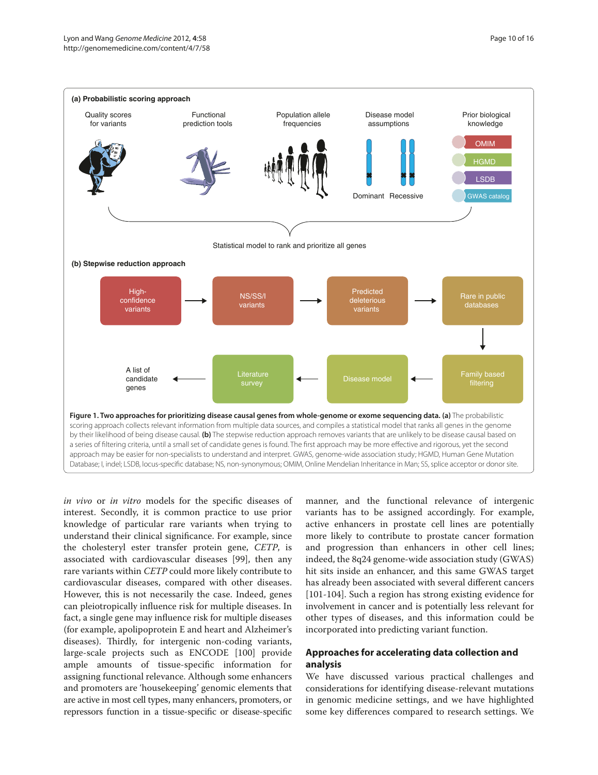

*in vivo* or *in vitro* models for the specific diseases of interest. Secondly, it is common practice to use prior knowledge of particular rare variants when trying to understand their clinical significance. For example, since the cholesteryl ester transfer protein gene, *CETP*, is associated with cardiovascular diseases [99], then any rare variants within *CETP* could more likely contribute to cardiovascular diseases, compared with other diseases. However, this is not necessarily the case. Indeed, genes can pleiotropically influence risk for multiple diseases. In fact, a single gene may influence risk for multiple diseases (for example, apolipoprotein E and heart and Alzheimer's diseases). Thirdly, for intergenic non-coding variants, large-scale projects such as ENCODE [100] provide ample amounts of tissue-specific information for assigning functional relevance. Although some enhancers and promoters are 'housekeeping' genomic elements that are active in most cell types, many enhancers, promoters, or repressors function in a tissue-specific or disease-specific

manner, and the functional relevance of intergenic variants has to be assigned accordingly. For example, active enhancers in prostate cell lines are potentially more likely to contribute to prostate cancer formation and progression than enhancers in other cell lines; indeed, the 8q24 genome-wide association study (GWAS) hit sits inside an enhancer, and this same GWAS target has already been associated with several different cancers [101-104]. Such a region has strong existing evidence for involvement in cancer and is potentially less relevant for other types of diseases, and this information could be incorporated into predicting variant function.

# **Approaches for accelerating data collection and analysis**

We have discussed various practical challenges and considerations for identifying disease-relevant mutations in genomic medicine settings, and we have highlighted some key differences compared to research settings. We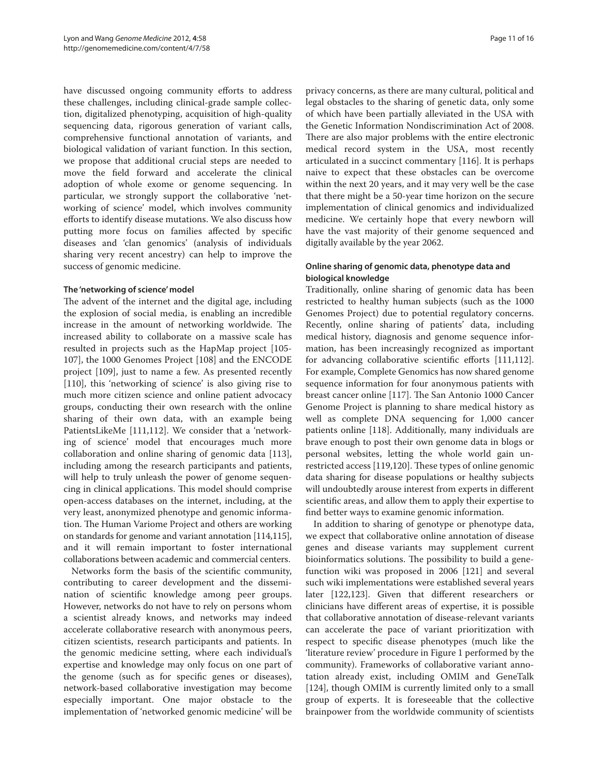have discussed ongoing community efforts to address these challenges, including clinical-grade sample collection, digitalized phenotyping, acquisition of high-quality sequencing data, rigorous generation of variant calls, comprehensive functional annotation of variants, and biological validation of variant function. In this section, we propose that additional crucial steps are needed to move the field forward and accelerate the clinical adoption of whole exome or genome sequencing. In particular, we strongly support the collaborative 'networking of science' model, which involves community efforts to identify disease mutations. We also discuss how putting more focus on families affected by specific diseases and 'clan genomics' (analysis of individuals sharing very recent ancestry) can help to improve the success of genomic medicine.

# **The 'networking of science' model**

The advent of the internet and the digital age, including the explosion of social media, is enabling an incredible increase in the amount of networking worldwide. The increased ability to collaborate on a massive scale has resulted in projects such as the HapMap project [105- 107], the 1000 Genomes Project [108] and the ENCODE project [109], just to name a few. As presented recently [110], this 'networking of science' is also giving rise to much more citizen science and online patient advocacy groups, conducting their own research with the online sharing of their own data, with an example being PatientsLikeMe [111,112]. We consider that a 'networking of science' model that encourages much more collaboration and online sharing of genomic data [113], including among the research participants and patients, will help to truly unleash the power of genome sequencing in clinical applications. This model should comprise open-access databases on the internet, including, at the very least, anonymized phenotype and genomic information. The Human Variome Project and others are working on standards for genome and variant annotation [114,115], and it will remain important to foster international collaborations between academic and commercial centers.

Networks form the basis of the scientific community, contributing to career development and the dissemination of scientific knowledge among peer groups. However, networks do not have to rely on persons whom a scientist already knows, and networks may indeed accelerate collaborative research with anonymous peers, citizen scientists, research participants and patients. In the genomic medicine setting, where each individual's expertise and knowledge may only focus on one part of the genome (such as for specific genes or diseases), network-based collaborative investigation may become especially important. One major obstacle to the implementation of 'networked genomic medicine' will be privacy concerns, as there are many cultural, political and legal obstacles to the sharing of genetic data, only some of which have been partially alleviated in the USA with the Genetic Information Nondiscrimination Act of 2008. There are also major problems with the entire electronic medical record system in the USA, most recently articulated in a succinct commentary [116]. It is perhaps naive to expect that these obstacles can be overcome within the next 20 years, and it may very well be the case that there might be a 50-year time horizon on the secure implementation of clinical genomics and individualized medicine. We certainly hope that every newborn will have the vast majority of their genome sequenced and digitally available by the year 2062.

# **Online sharing of genomic data, phenotype data and biological knowledge**

Traditionally, online sharing of genomic data has been restricted to healthy human subjects (such as the 1000 Genomes Project) due to potential regulatory concerns. Recently, online sharing of patients' data, including medical history, diagnosis and genome sequence information, has been increasingly recognized as important for advancing collaborative scientific efforts [111,112]. For example, Complete Genomics has now shared genome sequence information for four anonymous patients with breast cancer online [117]. The San Antonio 1000 Cancer Genome Project is planning to share medical history as well as complete DNA sequencing for 1,000 cancer patients online [118]. Additionally, many individuals are brave enough to post their own genome data in blogs or personal websites, letting the whole world gain unrestricted access [119,120]. These types of online genomic data sharing for disease populations or healthy subjects will undoubtedly arouse interest from experts in different scientific areas, and allow them to apply their expertise to find better ways to examine genomic information.

In addition to sharing of genotype or phenotype data, we expect that collaborative online annotation of disease genes and disease variants may supplement current bioinformatics solutions. The possibility to build a genefunction wiki was proposed in 2006 [121] and several such wiki implementations were established several years later [122,123]. Given that different researchers or clinicians have different areas of expertise, it is possible that collaborative annotation of disease-relevant variants can accelerate the pace of variant prioritization with respect to specific disease phenotypes (much like the 'literature review' procedure in Figure 1 performed by the community). Frameworks of collaborative variant annotation already exist, including OMIM and GeneTalk [124], though OMIM is currently limited only to a small group of experts. It is foreseeable that the collective brainpower from the worldwide community of scientists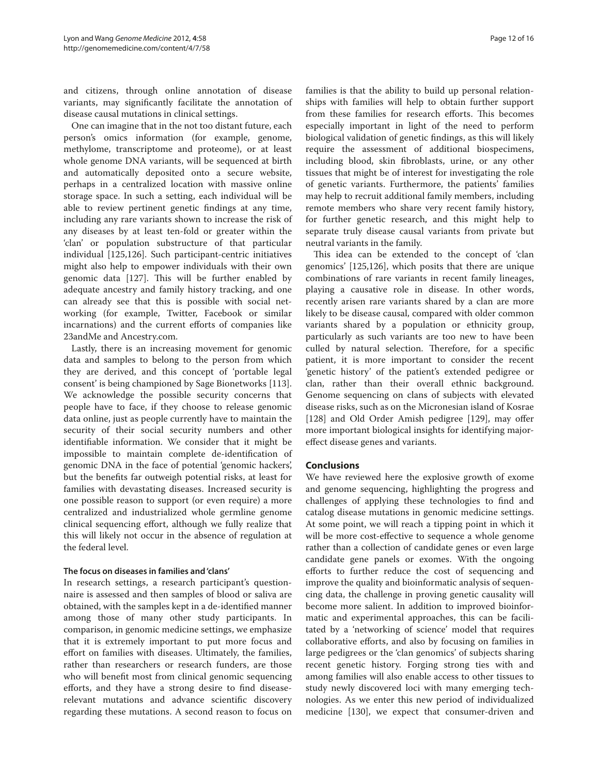and citizens, through online annotation of disease variants, may significantly facilitate the annotation of disease causal mutations in clinical settings.

One can imagine that in the not too distant future, each person's omics information (for example, genome, methylome, transcriptome and proteome), or at least whole genome DNA variants, will be sequenced at birth and automatically deposited onto a secure website, perhaps in a centralized location with massive online storage space. In such a setting, each individual will be able to review pertinent genetic findings at any time, including any rare variants shown to increase the risk of any diseases by at least ten-fold or greater within the 'clan' or population substructure of that particular individual [125,126]. Such participant-centric initiatives might also help to empower individuals with their own genomic data [127]. This will be further enabled by adequate ancestry and family history tracking, and one can already see that this is possible with social networking (for example, Twitter, Facebook or similar incarnations) and the current efforts of companies like 23andMe and Ancestry.com.

Lastly, there is an increasing movement for genomic data and samples to belong to the person from which they are derived, and this concept of 'portable legal consent' is being championed by Sage Bionetworks [113]. We acknowledge the possible security concerns that people have to face, if they choose to release genomic data online, just as people currently have to maintain the security of their social security numbers and other identifiable information. We consider that it might be impossible to maintain complete de-identification of genomic DNA in the face of potential 'genomic hackers', but the benefits far outweigh potential risks, at least for families with devastating diseases. Increased security is one possible reason to support (or even require) a more centralized and industrialized whole germline genome clinical sequencing effort, although we fully realize that this will likely not occur in the absence of regulation at the federal level.

# **The focus on diseases in families and 'clans'**

In research settings, a research participant's questionnaire is assessed and then samples of blood or saliva are obtained, with the samples kept in a de-identified manner among those of many other study participants. In comparison, in genomic medicine settings, we emphasize that it is extremely important to put more focus and effort on families with diseases. Ultimately, the families, rather than researchers or research funders, are those who will benefit most from clinical genomic sequencing efforts, and they have a strong desire to find diseaserelevant mutations and advance scientific discovery regarding these mutations. A second reason to focus on families is that the ability to build up personal relationships with families will help to obtain further support from these families for research efforts. This becomes especially important in light of the need to perform biological validation of genetic findings, as this will likely require the assessment of additional biospecimens, including blood, skin fibroblasts, urine, or any other tissues that might be of interest for investigating the role of genetic variants. Furthermore, the patients' families may help to recruit additional family members, including remote members who share very recent family history, for further genetic research, and this might help to separate truly disease causal variants from private but neutral variants in the family.

This idea can be extended to the concept of 'clan genomics' [125,126], which posits that there are unique combinations of rare variants in recent family lineages, playing a causative role in disease. In other words, recently arisen rare variants shared by a clan are more likely to be disease causal, compared with older common variants shared by a population or ethnicity group, particularly as such variants are too new to have been culled by natural selection. Therefore, for a specific patient, it is more important to consider the recent 'genetic history' of the patient's extended pedigree or clan, rather than their overall ethnic background. Genome sequencing on clans of subjects with elevated disease risks, such as on the Micronesian island of Kosrae [128] and Old Order Amish pedigree [129], may offer more important biological insights for identifying majoreffect disease genes and variants.

# **Conclusions**

We have reviewed here the explosive growth of exome and genome sequencing, highlighting the progress and challenges of applying these technologies to find and catalog disease mutations in genomic medicine settings. At some point, we will reach a tipping point in which it will be more cost-effective to sequence a whole genome rather than a collection of candidate genes or even large candidate gene panels or exomes. With the ongoing efforts to further reduce the cost of sequencing and improve the quality and bioinformatic analysis of sequencing data, the challenge in proving genetic causality will become more salient. In addition to improved bioinformatic and experimental approaches, this can be facilitated by a 'networking of science' model that requires collaborative efforts, and also by focusing on families in large pedigrees or the 'clan genomics' of subjects sharing recent genetic history. Forging strong ties with and among families will also enable access to other tissues to study newly discovered loci with many emerging technologies. As we enter this new period of individualized medicine [130], we expect that consumer-driven and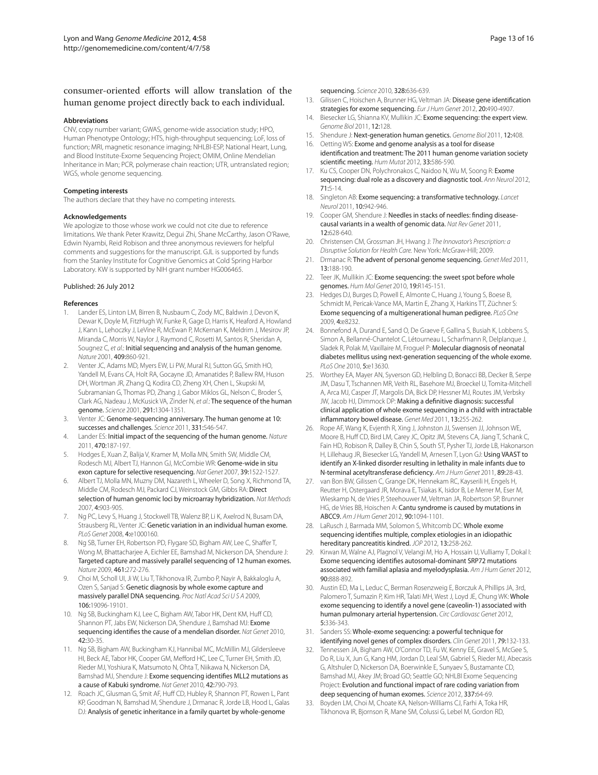# consumer-oriented efforts will allow translation of the human genome project directly back to each individual.

#### **Abbreviations**

CNV, copy number variant; GWAS, genome-wide association study; HPO, Human Phenotype Ontology; HTS, high-throughput sequencing; LoF, loss of function; MRI, magnetic resonance imaging; NHLBI-ESP, National Heart, Lung, and Blood Institute-Exome Sequencing Project; OMIM, Online Mendelian Inheritance in Man; PCR, polymerase chain reaction; UTR, untranslated region; WGS, whole genome sequencing.

#### **Competing interests**

The authors declare that they have no competing interests.

#### **Acknowledgements**

We apologize to those whose work we could not cite due to reference limitations. We thank Peter Krawitz, Degui Zhi, Shane McCarthy, Jason O'Rawe, Edwin Nyambi, Reid Robison and three anonymous reviewers for helpful comments and suggestions for the manuscript. GJL is supported by funds from the Stanley Institute for Cognitive Genomics at Cold Spring Harbor Laboratory. KW is supported by NIH grant number HG006465.

#### Published: 26 July 2012

#### **References**

- 1. Lander ES, Linton LM, Birren B, Nusbaum C, Zody MC, Baldwin J, Devon K, Dewar K, Doyle M, FitzHugh W, Funke R, Gage D, Harris K, Heaford A, Howland J, Kann L, Lehoczky J, LeVine R, McEwan P, McKernan K, Meldrim J, Mesirov JP, Miranda C, Morris W, Naylor J, Raymond C, Rosetti M, Santos R, Sheridan A, Sougnez C, *et al*.: Initial sequencing and analysis of the human genome. *Nature* 2001, 409:860-921.
- 2. Venter JC, Adams MD, Myers EW, Li PW, Mural RJ, Sutton GG, Smith HO, Yandell M, Evans CA, Holt RA, Gocayne JD, Amanatides P, Ballew RM, Huson DH, Wortman JR, Zhang Q, Kodira CD, Zheng XH, Chen L, Skupski M, Subramanian G, Thomas PD, Zhang J, Gabor Miklos GL, Nelson C, Broder S, Clark AG, Nadeau J, McKusick VA, Zinder N, *et al*.: The sequence of the human genome. *Science* 2001, 291:1304-1351.
- 3. Venter JC: Genome-sequencing anniversary. The human genome at 10: successes and challenges. *Science* 2011, 331:546-547.
- 4. Lander ES: Initial impact of the sequencing of the human genome. *Nature* 2011, 470:187-197.
- 5. Hodges E, Xuan Z, Balija V, Kramer M, Molla MN, Smith SW, Middle CM, Rodesch MJ, Albert TJ, Hannon GJ, McCombie WR: Genome-wide in situ exon capture for selective resequencing. *Nat Genet* 2007, 39:1522-1527.
- 6. Albert TJ, Molla MN, Muzny DM, Nazareth L, Wheeler D, Song X, Richmond TA, Middle CM, Rodesch MJ, Packard CJ, Weinstock GM, Gibbs RA: Direct selection of human genomic loci by microarray hybridization. *Nat Methods* 2007, 4:903-905.
- 7. Ng PC, Levy S, Huang J, Stockwell TB, Walenz BP, Li K, Axelrod N, Busam DA, Strausberg RL, Venter JC: Genetic variation in an individual human exome. *PLoS Genet* 2008, 4:e1000160.
- 8. Ng SB, Turner EH, Robertson PD, Flygare SD, Bigham AW, Lee C, Shaffer T, Wong M, Bhattacharjee A, Eichler EE, Bamshad M, Nickerson DA, Shendure J: Targeted capture and massively parallel sequencing of 12 human exomes. *Nature* 2009, 461:272-276.
- 9. Choi M, Scholl UI, Ji W, Liu T, Tikhonova IR, Zumbo P, Nayir A, Bakkaloglu A, Ozen S, Sanjad S: Genetic diagnosis by whole exome capture and massively parallel DNA sequencing. *Proc Natl Acad Sci U S A* 2009, 106:19096-19101.
- 10. Ng SB, Buckingham KJ, Lee C, Bigham AW, Tabor HK, Dent KM, Huff CD, Shannon PT, Jabs EW, Nickerson DA, Shendure J, Bamshad MJ: Exome sequencing identifies the cause of a mendelian disorder. *Nat Genet* 2010, 42:30-35.
- 11. Ng SB, Bigham AW, Buckingham KJ, Hannibal MC, McMillin MJ, Gildersleeve HI, Beck AE, Tabor HK, Cooper GM, Mefford HC, Lee C, Turner EH, Smith JD, Rieder MJ, Yoshiura K, Matsumoto N, Ohta T, Niikawa N, Nickerson DA, Bamshad MJ, Shendure J: Exome sequencing identifies MLL2 mutations as a cause of Kabuki syndrome. *Nat Genet* 2010, 42:790-793.
- 12. Roach JC, Glusman G, Smit AF, Huff CD, Hubley R, Shannon PT, Rowen L, Pant KP, Goodman N, Bamshad M, Shendure J, Drmanac R, Jorde LB, Hood L, Galas DJ: Analysis of genetic inheritance in a family quartet by whole-genome

sequencing. *Science* 2010, 328:636-639.

- 13. Gilissen C, Hoischen A, Brunner HG, Veltman JA: Disease gene identification strategies for exome sequencing. *Eur J Hum Genet* 2012, 20:490-4907.
- 14. Biesecker LG, Shianna KV, Mullikin JC: Exome sequencing: the expert view. *Genome Biol* 2011, 12:128.
- 15. Shendure J: Next-generation human genetics. *Genome Biol* 2011, 12:408. 16. Oetting WS: Exome and genome analysis as a tool for disease
- identification and treatment: The 2011 human genome variation society scientific meeting. *Hum Mutat* 2012, 33:586-590.
- 17. Ku CS, Cooper DN, Polychronakos C, Naidoo N, Wu M, Soong R: Exome sequencing: dual role as a discovery and diagnostic tool. *Ann Neurol* 2012, 71:5-14.
- 18. Singleton AB: Exome sequencing: a transformative technology. *Lancet Neurol* 2011, 10:942-946.
- 19. Cooper GM, Shendure J: Needles in stacks of needles: finding diseasecausal variants in a wealth of genomic data. *Nat Rev Genet* 2011, 12:628-640.
- 20. Christensen CM, Grossman JH, Hwang J: *The Innovator's Prescription: a Disruptive Solution for Health Care.* New York: McGraw-Hill; 2009.
- 21. Drmanac R: The advent of personal genome sequencing. *Genet Med* 2011, 13:188-190.
- 22. Teer JK, Mullikin JC: Exome sequencing: the sweet spot before whole genomes. *Hum Mol Genet* 2010, 19:R145-151.
- 23. Hedges DJ, Burges D, Powell E, Almonte C, Huang J, Young S, Boese B, Schmidt M, Pericak-Vance MA, Martin E, Zhang X, Harkins TT, Züchner S: Exome sequencing of a multigenerational human pedigree. *PLoS One* 2009, 4:e8232.
- 24. Bonnefond A, Durand E, Sand O, De Graeve F, Gallina S, Busiah K, Lobbens S, Simon A, Bellanné-Chantelot C, Létourneau L, Scharfmann R, Delplanque J, Sladek R, Polak M, Vaxillaire M, Froguel P: Molecular diagnosis of neonatal diabetes mellitus using next-generation sequencing of the whole exome. *PLoS One* 2010, 5:e13630.
- 25. Worthey EA, Mayer AN, Syverson GD, Helbling D, Bonacci BB, Decker B, Serpe JM, Dasu T, Tschannen MR, Veith RL, Basehore MJ, Broeckel U, Tomita-Mitchell A, Arca MJ, Casper JT, Margolis DA, Bick DP, Hessner MJ, Routes JM, Verbsky JW, Jacob HJ, Dimmock DP: Making a definitive diagnosis: successful clinical application of whole exome sequencing in a child with intractable inflammatory bowel disease. *Genet Med* 2011, 13:255-262.
- 26. Rope AF, Wang K, Evjenth R, Xing J, Johnston JJ, Swensen JJ, Johnson WE, Moore B, Huff CD, Bird LM, Carey JC, Opitz JM, Stevens CA, Jiang T, Schank C, Fain HD, Robison R, Dalley B, Chin S, South ST, Pysher TJ, Jorde LB, Hakonarson H, Lillehaug JR, Biesecker LG, Yandell M, Arnesen T, Lyon GJ: Using VAAST to identify an X-linked disorder resulting in lethality in male infants due to N-terminal acetyltransferase deficiency. *Am J Hum Genet* 2011, 89:28-43.
- 27. van Bon BW, Gilissen C, Grange DK, Hennekam RC, Kayserili H, Engels H, Reutter H, Ostergaard JR, Morava E, Tsiakas K, Isidor B, Le Merrer M, Eser M, Wieskamp N, de Vries P, Steehouwer M, Veltman JA, Robertson SP, Brunner HG, de Vries BB, Hoischen A: Cantu syndrome is caused by mutations in ABCC9. *Am J Hum Genet* 2012, 90:1094-1101.
- 28. LaRusch J, Barmada MM, Solomon S, Whitcomb DC: Whole exome sequencing identifies multiple, complex etiologies in an idiopathic hereditary pancreatitis kindred. *JOP* 2012, 13:258-262.
- 29. Kirwan M, Walne AJ, Plagnol V, Velangi M, Ho A, Hossain U, Vulliamy T, Dokal I: Exome sequencing identifies autosomal-dominant SRP72 mutations associated with familial aplasia and myelodysplasia. *Am J Hum Genet* 2012, 90:888-892.
- 30. Austin ED, Ma L, Leduc C, Berman Rosenzweig E, Borczuk A, Phillips JA, 3rd, Palomero T, Sumazin P, Kim HR, Talati MH, West J, Loyd JE, Chung WK: Whole exome sequencing to identify a novel gene (caveolin-1) associated with human pulmonary arterial hypertension. *Circ Cardiovasc Genet* 2012, 5:336-343.
- 31. Sanders SS: Whole-exome sequencing: a powerful technique for identifying novel genes of complex disorders. *Clin Genet* 2011, 79:132-133.
- 32. Tennessen JA, Bigham AW, O'Connor TD, Fu W, Kenny EE, Gravel S, McGee S, Do R, Liu X, Jun G, Kang HM, Jordan D, Leal SM, Gabriel S, Rieder MJ, Abecasis G, Altshuler D, Nickerson DA, Boerwinkle E, Sunyaev S, Bustamante CD, Bamshad MJ, Akey JM; Broad GO; Seattle GO; NHLBI Exome Sequencing Project: Evolution and functional impact of rare coding variation from deep sequencing of human exomes. *Science* 2012, 337:64-69.
- 33. Boyden LM, Choi M, Choate KA, Nelson-Williams CJ, Farhi A, Toka HR, Tikhonova IR, Bjornson R, Mane SM, Colussi G, Lebel M, Gordon RD,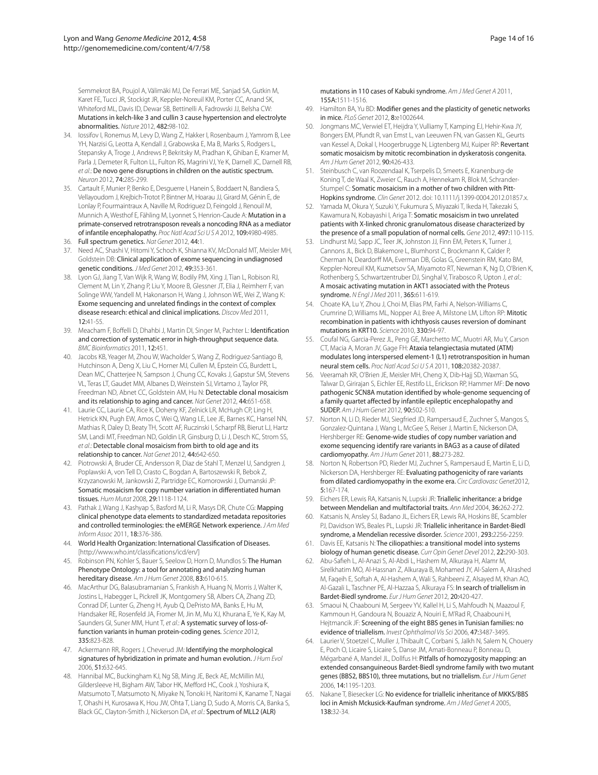Semmekrot BA, Poujol A, Välimäki MJ, De Ferrari ME, Sanjad SA, Gutkin M, Karet FE, Tucci JR, Stockigt JR, Keppler-Noreuil KM, Porter CC, Anand SK, Whiteford ML, Davis ID, Dewar SB, Bettinelli A, Fadrowski JJ, Belsha CW: Mutations in kelch-like 3 and cullin 3 cause hypertension and electrolyte abnormalities. *Nature* 2012, 482:98-102.

- 34. Iossifov I, Ronemus M, Levy D, Wang Z, Hakker I, Rosenbaum J, Yamrom B, Lee YH, Narzisi G, Leotta A, Kendall J, Grabowska E, Ma B, Marks S, Rodgers L, Stepansky A, Troge J, Andrews P, Bekritsky M, Pradhan K, Ghiban E, Kramer M, Parla J, Demeter R, Fulton LL, Fulton RS, Magrini VJ, Ye K, Darnell JC, Darnell RB, *et al*.: De novo gene disruptions in children on the autistic spectrum. *Neuron* 2012, 74:285-299.
- 35. Cartault F, Munier P, Benko E, Desguerre I, Hanein S, Boddaert N, Bandiera S, Vellayoudom J, Krejbich-Trotot P, Bintner M, Hoarau JJ, Girard M, Génin E, de Lonlay P, Fourmaintraux A, Naville M, Rodriguez D, Feingold J, Renouil M, Munnich A, Westhof E, Fähling M, Lyonnet S, Henrion-Caude A: Mutation in a primate-conserved retrotransposon reveals a noncoding RNA as a mediator of infantile encephalopathy. *Proc Natl Acad Sci U S A* 2012, 109:4980-4985.
- 36. Full spectrum genetics. *Nat Genet* 2012, 44:1.
- 37. Need AC, Shashi V, Hitomi Y, Schoch K, Shianna KV, McDonald MT, Meisler MH, Goldstein DB: Clinical application of exome sequencing in undiagnosed genetic conditions. *J Med Genet* 2012, 49:353-361.
- Lyon GJ, Jiang T, Van Wijk R, Wang W, Bodily PM, Xing J, Tian L, Robison RJ, Clement M, Lin Y, Zhang P, Liu Y, Moore B, Glessner JT, Elia J, Reimherr F, van Solinge WW, Yandell M, Hakonarson H, Wang J, Johnson WE, Wei Z, Wang K: Exome sequencing and unrelated findings in the context of complex disease research: ethical and clinical implications. *Discov Med* 2011, 12:41-55.
- 39. Meacham F, Boffelli D, Dhahbi J, Martin DI, Singer M, Pachter L: Identification and correction of systematic error in high-throughput sequence data. *BMC Bioinformatics* 2011, 12:451.
- 40. Jacobs KB, Yeager M, Zhou W, Wacholder S, Wang Z, Rodriguez-Santiago B, Hutchinson A, Deng X, Liu C, Horner MJ, Cullen M, Epstein CG, Burdett L, Dean MC, Chatterjee N, Sampson J, Chung CC, Kovaks J, Gapstur SM, Stevens VL, Teras LT, Gaudet MM, Albanes D, Weinstein SJ, Virtamo J, Taylor PR, Freedman ND, Abnet CC, Goldstein AM, Hu N: Detectable clonal mosaicism and its relationship to aging and cancer. *Nat Genet* 2012, 44:651-658.
- 41. Laurie CC, Laurie CA, Rice K, Doheny KF, Zelnick LR, McHugh CP, Ling H, Hetrick KN, Pugh EW, Amos C, Wei Q, Wang LE, Lee JE, Barnes KC, Hansel NN, Mathias R, Daley D, Beaty TH, Scott AF, Ruczinski I, Scharpf RB, Bierut LJ, Hartz SM, Landi MT, Freedman ND, Goldin LR, Ginsburg D, Li J, Desch KC, Strom SS, *et al*.: Detectable clonal mosaicism from birth to old age and its relationship to cancer. *Nat Genet* 2012, 44:642-650.
- 42. Piotrowski A, Bruder CE, Andersson R, Diaz de Stahl T, Menzel U, Sandgren J, Poplawski A, von Tell D, Crasto C, Bogdan A, Bartoszewski R, Bebok Z, Krzyzanowski M, Jankowski Z, Partridge EC, Komorowski J, Dumanski JP: Somatic mosaicism for copy number variation in differentiated human tissues. *Hum Mutat* 2008, 29:1118-1124.
- 43. Pathak J, Wang J, Kashyap S, Basford M, Li R, Masys DR, Chute CG: Mapping clinical phenotype data elements to standardized metadata repositories and controlled terminologies: the eMERGE Network experience. *J Am Med Inform Assoc* 2011, 18:376-386.
- 44. World Health Organization: International Classification of Diseases. [http://www.who.int/classifications/icd/en/]
- 45. Robinson PN, Kohler S, Bauer S, Seelow D, Horn D, Mundlos S: The Human Phenotype Ontology: a tool for annotating and analyzing human hereditary disease. *Am J Hum Genet* 2008, 83:610-615.
- 46. MacArthur DG, Balasubramanian S, Frankish A, Huang N, Morris J, Walter K, Jostins L, Habegger L, Pickrell JK, Montgomery SB, Albers CA, Zhang ZD, Conrad DF, Lunter G, Zheng H, Ayub Q, DePristo MA, Banks E, Hu M, Handsaker RE, Rosenfeld JA, Fromer M, Jin M, Mu XJ, Khurana E, Ye K, Kay M, Saunders GI, Suner MM, Hunt T, *et al*.: A systematic survey of loss-offunction variants in human protein-coding genes. *Science* 2012, 335:823-828.
- 47. Ackermann RR, Rogers J, Cheverud JM: Identifying the morphological signatures of hybridization in primate and human evolution. *J Hum Evol* 2006, 51:632-645.
- 48. Hannibal MC, Buckingham KJ, Ng SB, Ming JE, Beck AE, McMillin MJ, Gildersleeve HI, Bigham AW, Tabor HK, Mefford HC, Cook J, Yoshiura K, Matsumoto T, Matsumoto N, Miyake N, Tonoki H, Naritomi K, Kaname T, Nagai T, Ohashi H, Kurosawa K, Hou JW, Ohta T, Liang D, Sudo A, Morris CA, Banka S, Black GC, Clayton-Smith J, Nickerson DA, *et al*.: Spectrum of MLL2 (ALR)

mutations in 110 cases of Kabuki syndrome. *Am J Med Genet A* 2011, 155A:1511-1516.

- 49. Hamilton BA, Yu BD: Modifier genes and the plasticity of genetic networks in mice. *PLoS Genet* 2012, 8:e1002644.
- 50. Jongmans MC, Verwiel ET, Heijdra Y, Vulliamy T, Kamping EJ, Hehir-Kwa JY, Bongers EM, Pfundt R, van Emst L, van Leeuwen FN, van Gassen KL, Geurts van Kessel A, Dokal I, Hoogerbrugge N, Ligtenberg MJ, Kuiper RP: Revertant somatic mosaicism by mitotic recombination in dyskeratosis congenita. *Am J Hum Genet* 2012, 90:426-433.
- 51. Steinbusch C, van Roozendaal K, Tserpelis D, Smeets E, Kranenburg-de Koning T, de Waal K, Zweier C, Rauch A, Hennekam R, Blok M, Schrander-Stumpel C: Somatic mosaicism in a mother of two children with Pitt-Hopkins syndrome. *Clin Genet* 2012. doi: 10.1111/j.1399-0004.2012.01857.x.
- 52. Yamada M, Okura Y, Suzuki Y, Fukumura S, Miyazaki T, Ikeda H, Takezaki S, Kawamura N, Kobayashi I, Ariga T: Somatic mosaicism in two unrelated patients with X-linked chronic granulomatous disease characterized by the presence of a small population of normal cells. *Gene* 2012, 497:110-115.
- Lindhurst MJ, Sapp JC, Teer JK, Johnston JJ, Finn EM, Peters K, Turner J, Cannons JL, Bick D, Blakemore L, Blumhorst C, Brockmann K, Calder P, Cherman N, Deardorff MA, Everman DB, Golas G, Greenstein RM, Kato BM, Keppler-Noreuil KM, Kuznetsov SA, Miyamoto RT, Newman K, Ng D, O'Brien K, Rothenberg S, Schwartzentruber DJ, Singhal V, Tirabosco R, Upton J, *et al*.: A mosaic activating mutation in AKT1 associated with the Proteus syndrome. *N Engl J Med* 2011, 365:611-619.
- Choate KA, Lu Y, Zhou J, Choi M, Elias PM, Farhi A, Nelson-Williams C, Crumrine D, Williams ML, Nopper AJ, Bree A, Milstone LM, Lifton RP: Mitotic recombination in patients with ichthyosis causes reversion of dominant mutations in KRT10. *Science* 2010, 330:94-97.
- 55. Coufal NG, Garcia-Perez JL, Peng GE, Marchetto MC, Muotri AR, Mu Y, Carson CT, Macia A, Moran JV, Gage FH: Ataxia telangiectasia mutated (ATM) modulates long interspersed element-1 (L1) retrotransposition in human neural stem cells. *Proc Natl Acad Sci U S A* 2011, 108:20382-20387.
- 56. Veeramah KR, O'Brien JE, Meisler MH, Cheng X, Dib-Hajj SD, Waxman SG, Talwar D, Girirajan S, Eichler EE, Restifo LL, Erickson RP, Hammer MF: De novo pathogenic SCN8A mutation identified by whole-genome sequencing of a family quartet affected by infantile epileptic encephalopathy and SUDEP. *Am J Hum Genet* 2012, 90:502-510.
- 57. Norton N, Li D, Rieder MJ, Siegfried JD, Rampersaud E, Zuchner S, Mangos S, Gonzalez-Quintana J, Wang L, McGee S, Reiser J, Martin E, Nickerson DA, Hershberger RE: Genome-wide studies of copy number variation and exome sequencing identify rare variants in BAG3 as a cause of dilated cardiomyopathy. *Am J Hum Genet* 2011, 88:273-282.
- 58. Norton N, Robertson PD, Rieder MJ, Zuchner S, Rampersaud E, Martin E, Li D, Nickerson DA, Hershberger RE: Evaluating pathogenicity of rare variants from dilated cardiomyopathy in the exome era. *Circ Cardiovasc Genet*2012, 5:167-174.
- 59. Eichers ER, Lewis RA, Katsanis N, Lupski JR: Triallelic inheritance: a bridge between Mendelian and multifactorial traits. *Ann Med* 2004, 36:262-272.
- 60. Katsanis N, Ansley SJ, Badano JL, Eichers ER, Lewis RA, Hoskins BE, Scambler PJ, Davidson WS, Beales PL, Lupski JR: Triallelic inheritance in Bardet-Biedl syndrome, a Mendelian recessive disorder. *Science* 2001, 293:2256-2259.
- 61. Davis EE, Katsanis N: The ciliopathies: a transitional model into systems biology of human genetic disease. *Curr Opin Genet Devel* 2012, 22:290-303.
- 62. Abu-Safieh L, Al-Anazi S, Al-Abdi L, Hashem M, Alkuraya H, Alamr M, Sirelkhatim MO, Al-Hassnan Z, Alkuraya B, Mohamed JY, Al-Salem A, Alrashed M, Faqeih E, Softah A, Al-Hashem A, Wali S, Rahbeeni Z, Alsayed M, Khan AO, Al-Gazali L, Taschner PE, Al-Hazzaa S, Alkuraya FS: In search of triallelism in Bardet-Biedl syndrome. *Eur J Hum Genet* 2012, 20:420-427.
- 63. Smaoui N, Chaabouni M, Sergeev YV, Kallel H, Li S, Mahfoudh N, Maazoul F, Kammoun H, Gandoura N, Bouaziz A, Nouiri E, M'Rad R, Chaabouni H, Hejtmancik JF: Screening of the eight BBS genes in Tunisian families: no evidence of triallelism. *Invest Ophthalmol Vis Sci* 2006, 47:3487-3495.
- 64. Laurier V, Stoetzel C, Muller J, Thibault C, Corbani S, Jalkh N, Salem N, Chouery E, Poch O, Licaire S, Licaire S, Danse JM, Amati-Bonneau P, Bonneau D, Mégarbané A, Mandel JL, Dollfus H: Pitfalls of homozygosity mapping: an extended consanguineous Bardet-Biedl syndrome family with two mutant genes (BBS2, BBS10), three mutations, but no triallelism. *Eur J Hum Genet* 2006, 14:1195-1203.
- 65. Nakane T, Biesecker LG: No evidence for triallelic inheritance of MKKS/BBS loci in Amish Mckusick-Kaufman syndrome. *Am J Med Genet A* 2005, 138:32-34.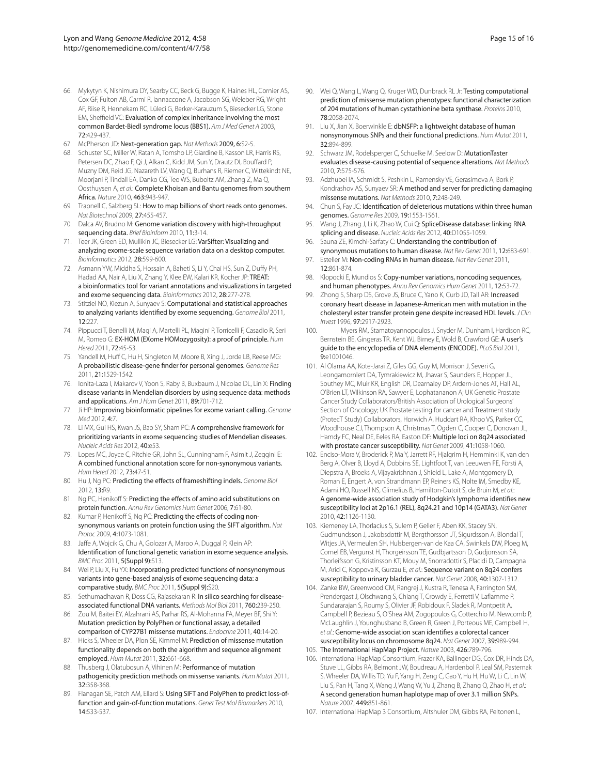- 66. Mykytyn K, Nishimura DY, Searby CC, Beck G, Bugge K, Haines HL, Cornier AS, Cox GF, Fulton AB, Carmi R, Iannaccone A, Jacobson SG, Weleber RG, Wright AF, Riise R, Hennekam RC, Lüleci G, Berker-Karauzum S, Biesecker LG, Stone EM, Sheffield VC: Evaluation of complex inheritance involving the most common Bardet-Biedl syndrome locus (BBS1). *Am J Med Genet A* 2003, 72:429-437.
- 67. McPherson JD: Next-generation gap. *Nat Methods* 2009, 6:S2-5.
- 68. Schuster SC, Miller W, Ratan A, Tomsho LP, Giardine B, Kasson LR, Harris RS, Petersen DC, Zhao F, Qi J, Alkan C, Kidd JM, Sun Y, Drautz DI, Bouffard P, Muzny DM, Reid JG, Nazareth LV, Wang Q, Burhans R, Riemer C, Wittekindt NE, Moorjani P, Tindall EA, Danko CG, Teo WS, Buboltz AM, Zhang Z, Ma Q, Oosthuysen A, *et al*.: Complete Khoisan and Bantu genomes from southern Africa. *Nature* 2010, 463:943-947.
- 69. Trapnell C, Salzberg SL: How to map billions of short reads onto genomes. *Nat Biotechnol* 2009, 27:455-457.
- 70. Dalca AV, Brudno M: Genome variation discovery with high-throughput sequencing data. *Brief Bioinform* 2010, 11:3-14.
- 71. Teer JK, Green ED, Mullikin JC, Biesecker LG: VarSifter: Visualizing and analyzing exome-scale sequence variation data on a desktop computer. *Bioinformatics* 2012, 28:599-600.
- 72. Asmann YW, Middha S, Hossain A, Baheti S, Li Y, Chai HS, Sun Z, Duffy PH, Hadad AA, Nair A, Liu X, Zhang Y, Klee EW, Kalari KR, Kocher JP: TREAT: a bioinformatics tool for variant annotations and visualizations in targeted and exome sequencing data. *Bioinformatics* 2012, 28:277-278.
- 73. Stitziel NO, Kiezun A, Sunyaev S: Computational and statistical approaches to analyzing variants identified by exome sequencing. *Genome Biol* 2011, 12:227.
- 74. Pippucci T, Benelli M, Magi A, Martelli PL, Magini P, Torricelli F, Casadio R, Seri M, Romeo G: EX-HOM (EXome HOMozygosity): a proof of principle. *Hum Hered* 2011, 72:45-53.
- 75. Yandell M, Huff C, Hu H, Singleton M, Moore B, Xing J, Jorde LB, Reese MG: A probabilistic disease-gene finder for personal genomes. *Genome Res* 2011, 21:1529-1542.
- 76. Ionita-Laza I, Makarov V, Yoon S, Raby B, Buxbaum J, Nicolae DL, Lin X: Finding disease variants in Mendelian disorders by using sequence data: methods and applications. *Am J Hum Genet* 2011, 89:701-712.
- 77. Ji HP: Improving bioinformatic pipelines for exome variant calling. *Genome Med* 2012, 4:7.
- 78. Li MX, Gui HS, Kwan JS, Bao SY, Sham PC: A comprehensive framework for prioritizing variants in exome sequencing studies of Mendelian diseases. *Nucleic Acids Res* 2012, 40:e53.
- 79. Lopes MC, Joyce C, Ritchie GR, John SL, Cunningham F, Asimit J, Zeggini E: A combined functional annotation score for non-synonymous variants. *Hum Hered* 2012, 73:47-51.
- 80. Hu J, Ng PC: Predicting the effects of frameshifting indels. *Genome Biol*  2012, 13:R9.
- 81. Ng PC, Henikoff S: Predicting the effects of amino acid substitutions on protein function. *Annu Rev Genomics Hum Genet* 2006, 7:61-80.
- 82. Kumar P, Henikoff S, Ng PC: Predicting the effects of coding nonsynonymous variants on protein function using the SIFT algorithm. *Nat Protoc* 2009, 4:1073-1081.
- 83. Jaffe A, Wojcik G, Chu A, Golozar A, Maroo A, Duggal P, Klein AP: Identification of functional genetic variation in exome sequence analysis. *BMC Proc* 2011, 5(Suppl 9):S13.
- 84. Wei P, Liu X, Fu YX: Incorporating predicted functions of nonsynonymous variants into gene-based analysis of exome sequencing data: a comparative study. *BMC Proc* 2011, 5(Suppl 9):S20.
- 85. Sethumadhavan R, Doss CG, Rajasekaran R: In silico searching for diseaseassociated functional DNA variants. *Methods Mol Biol* 2011, 760:239-250.
- 86. Zou M, Baitei EY, Alzahrani AS, Parhar RS, Al-Mohanna FA, Meyer BF, Shi Y: Mutation prediction by PolyPhen or functional assay, a detailed comparison of CYP27B1 missense mutations. *Endocrine* 2011, 40:14-20.
- 87. Hicks S, Wheeler DA, Plon SE, Kimmel M: Prediction of missense mutation functionality depends on both the algorithm and sequence alignment employed. *Hum Mutat* 2011, 32:661-668.
- 88. Thusberg J, Olatubosun A, Vihinen M: Performance of mutation pathogenicity prediction methods on missense variants. *Hum Mutat* 2011, 32:358-368.
- 89. Flanagan SE, Patch AM, Ellard S: Using SIFT and PolyPhen to predict loss-offunction and gain-of-function mutations. *Genet Test Mol Biomarkers* 2010, 14:533-537.
- 90. Wei Q, Wang L, Wang Q, Kruger WD, Dunbrack RL Jr: Testing computational prediction of missense mutation phenotypes: functional characterization of 204 mutations of human cystathionine beta synthase. *Proteins* 2010, 78:2058-2074.
- 91. Liu X, Jian X, Boerwinkle E: dbNSFP: a lightweight database of human nonsynonymous SNPs and their functional predictions. *Hum Mutat* 2011, 32:894-899.
- 92. Schwarz JM, Rodelsperger C, Schuelke M, Seelow D: MutationTaster evaluates disease-causing potential of sequence alterations. *Nat Methods* 2010, 7:575-576.
- 93. Adzhubei IA, Schmidt S, Peshkin L, Ramensky VE, Gerasimova A, Bork P, Kondrashov AS, Sunyaev SR: A method and server for predicting damaging missense mutations. *Nat Methods* 2010, 7:248-249.
- 94. Chun S, Fay JC: Identification of deleterious mutations within three human genomes. *Genome Res* 2009, 19:1553-1561.
- 95. Wang J, Zhang J, Li K, Zhao W, Cui Q: SpliceDisease database: linking RNA splicing and disease. *Nucleic Acids Res* 2012, 40:D1055-1059.
- Sauna ZE, Kimchi-Sarfaty C: Understanding the contribution of synonymous mutations to human disease. *Nat Rev Genet* 2011, 12:683-691.
- 97. Esteller M: Non-coding RNAs in human disease. *Nat Rev Genet* 2011, 12:861-874.
- 98. Klopocki E, Mundlos S: Copy-number variations, noncoding sequences, and human phenotypes. *Annu Rev Genomics Hum Genet* 2011, 12:53-72.
- 99. Zhong S, Sharp DS, Grove JS, Bruce C, Yano K, Curb JD, Tall AR: Increased coronary heart disease in Japanese-American men with mutation in the cholesteryl ester transfer protein gene despite increased HDL levels. *J Clin Invest* 1996, 97:2917-2923.
- 100. Myers RM, Stamatoyannopoulos J, Snyder M, Dunham I, Hardison RC, Bernstein BE, Gingeras TR, Kent WJ, Birney E, Wold B, Crawford GE: A user's guide to the encyclopedia of DNA elements (ENCODE). *PLoS Biol* 2011, 9:e1001046.
- 101. Al Olama AA, Kote-Jarai Z, Giles GG, Guy M, Morrison J, Severi G, Leongamornlert DA, Tymrakiewicz M, Jhavar S, Saunders E, Hopper JL, Southey MC, Muir KR, English DR, Dearnaley DP, Ardern-Jones AT, Hall AL, O'Brien LT, Wilkinson RA, Sawyer E, Lophatananon A; UK Genetic Prostate Cancer Study Collaborators/British Association of Urological Surgeons' Section of Oncology; UK Prostate testing for cancer and Treatment study (ProtecT Study) Collaborators, Horwich A, Huddart RA, Khoo VS, Parker CC, Woodhouse CJ, Thompson A, Christmas T, Ogden C, Cooper C, Donovan JL, Hamdy FC, Neal DE, Eeles RA, Easton DF: Multiple loci on 8q24 associated with prostate cancer susceptibility. *Nat Genet* 2009, 41:1058-1060.
- 102. Enciso-Mora V, Broderick P, Ma Y, Jarrett RF, Hjalgrim H, Hemminki K, van den Berg A, Olver B, Lloyd A, Dobbins SE, Lightfoot T, van Leeuwen FE, Försti A, Diepstra A, Broeks A, Vijayakrishnan J, Shield L, Lake A, Montgomery D, Roman E, Engert A, von Strandmann EP, Reiners KS, Nolte IM, Smedby KE, Adami HO, Russell NS, Glimelius B, Hamilton-Dutoit S, de Bruin M, *et al*.: A genome-wide association study of Hodgkin's lymphoma identifies new susceptibility loci at 2p16.1 (REL), 8q24.21 and 10p14 (GATA3). *Nat Genet* 2010, 42:1126-1130.
- 103. Kiemeney LA, Thorlacius S, Sulem P, Geller F, Aben KK, Stacey SN, Gudmundsson J, Jakobsdottir M, Bergthorsson JT, Sigurdsson A, Blondal T, Witjes JA, Vermeulen SH, Hulsbergen-van de Kaa CA, Swinkels DW, Ploeg M, Cornel EB, Vergunst H, Thorgeirsson TE, Gudbjartsson D, Gudjonsson SA, Thorleifsson G, Kristinsson KT, Mouy M, Snorradottir S, Placidi D, Campagna M, Arici C, Koppova K, Gurzau E, *et al*.: Sequence variant on 8q24 confers susceptibility to urinary bladder cancer. *Nat Genet* 2008, 40:1307-1312.
- 104. Zanke BW, Greenwood CM, Rangrej J, Kustra R, Tenesa A, Farrington SM, Prendergast J, Olschwang S, Chiang T, Crowdy E, Ferretti V, Laflamme P, Sundararajan S, Roumy S, Olivier JF, Robidoux F, Sladek R, Montpetit A, Campbell P, Bezieau S, O'Shea AM, Zogopoulos G, Cotterchio M, Newcomb P, McLaughlin J, Younghusband B, Green R, Green J, Porteous ME, Campbell H, *et al*.: Genome-wide association scan identifies a colorectal cancer susceptibility locus on chromosome 8q24. *Nat Genet* 2007, 39:989-994.
- 105. The International HapMap Project. *Nature* 2003, 426:789-796.
- 106. International HapMap Consortium, Frazer KA, Ballinger DG, Cox DR, Hinds DA, Stuve LL, Gibbs RA, Belmont JW, Boudreau A, Hardenbol P, Leal SM, Pasternak S, Wheeler DA, Willis TD, Yu F, Yang H, Zeng C, Gao Y, Hu H, Hu W, Li C, Lin W, Liu S, Pan H, Tang X, Wang J, Wang W, Yu J, Zhang B, Zhang Q, Zhao H, *et al*.: A second generation human haplotype map of over 3.1 million SNPs. *Nature* 2007, 449:851-861.
- 107. International HapMap 3 Consortium, Altshuler DM, Gibbs RA, Peltonen L,